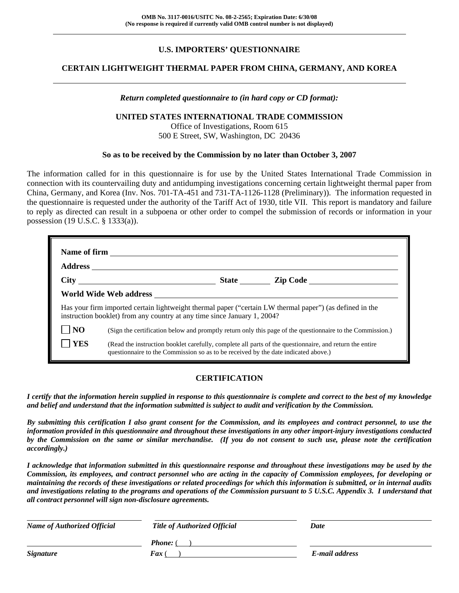# **U.S. IMPORTERS' QUESTIONNAIRE**

# **CERTAIN LIGHTWEIGHT THERMAL PAPER FROM CHINA, GERMANY, AND KOREA**

#### *Return completed questionnaire to (in hard copy or CD format):*

#### **UNITED STATES INTERNATIONAL TRADE COMMISSION**

Office of Investigations, Room 615 500 E Street, SW, Washington, DC 20436

#### **So as to be received by the Commission by no later than October 3, 2007**

The information called for in this questionnaire is for use by the United States International Trade Commission in connection with its countervailing duty and antidumping investigations concerning certain lightweight thermal paper from China, Germany, and Korea (Inv. Nos. 701-TA-451 and 731-TA-1126-1128 (Preliminary)). The information requested in the questionnaire is requested under the authority of the Tariff Act of 1930, title VII. This report is mandatory and failure to reply as directed can result in a subpoena or other order to compel the submission of records or information in your possession (19 U.S.C. § 1333(a)).

|                | State <u>Lip Code</u>                                                                                                                                                                         |
|----------------|-----------------------------------------------------------------------------------------------------------------------------------------------------------------------------------------------|
|                |                                                                                                                                                                                               |
|                | Has your firm imported certain lightweight thermal paper ("certain LW thermal paper") (as defined in the<br>instruction booklet) from any country at any time since January 1, 2004?          |
| N <sub>O</sub> | (Sign the certification below and promptly return only this page of the questionnaire to the Commission.)                                                                                     |
| <b>YES</b>     | (Read the instruction booklet carefully, complete all parts of the questionnaire, and return the entire<br>questionnaire to the Commission so as to be received by the date indicated above.) |

#### **CERTIFICATION**

*I certify that the information herein supplied in response to this questionnaire is complete and correct to the best of my knowledge and belief and understand that the information submitted is subject to audit and verification by the Commission.* 

*By submitting this certification I also grant consent for the Commission, and its employees and contract personnel, to use the information provided in this questionnaire and throughout these investigations in any other import-injury investigations conducted by the Commission on the same or similar merchandise. (If you do not consent to such use, please note the certification accordingly.)* 

*I acknowledge that information submitted in this questionnaire response and throughout these investigations may be used by the Commission, its employees, and contract personnel who are acting in the capacity of Commission employees, for developing or maintaining the records of these investigations or related proceedings for which this information is submitted, or in internal audits and investigations relating to the programs and operations of the Commission pursuant to 5 U.S.C. Appendix 3. I understand that all contract personnel will sign non-disclosure agreements.* 

| <b>Name of Authorized Official</b> | <b>Title of Authorized Official</b> | Date           |
|------------------------------------|-------------------------------------|----------------|
|                                    | <b>Phone:</b> (                     |                |
| <b>Signature</b>                   | Fax                                 | E-mail address |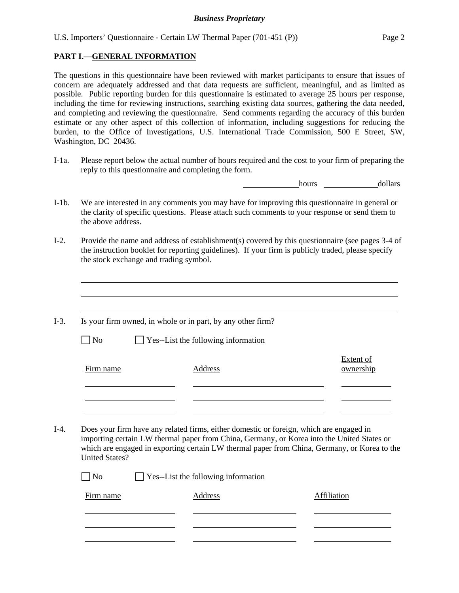## **PART I.—GENERAL INFORMATION**

 $\overline{a}$  $\overline{a}$ 

The questions in this questionnaire have been reviewed with market participants to ensure that issues of concern are adequately addressed and that data requests are sufficient, meaningful, and as limited as possible. Public reporting burden for this questionnaire is estimated to average 25 hours per response, including the time for reviewing instructions, searching existing data sources, gathering the data needed, and completing and reviewing the questionnaire. Send comments regarding the accuracy of this burden estimate or any other aspect of this collection of information, including suggestions for reducing the burden, to the Office of Investigations, U.S. International Trade Commission, 500 E Street, SW, Washington, DC 20436.

I-1a. Please report below the actual number of hours required and the cost to your firm of preparing the reply to this questionnaire and completing the form.

hours dollars

- I-1b. We are interested in any comments you may have for improving this questionnaire in general or the clarity of specific questions. Please attach such comments to your response or send them to the above address.
- I-2. Provide the name and address of establishment(s) covered by this questionnaire (see pages 3-4 of the instruction booklet for reporting guidelines). If your firm is publicly traded, please specify the stock exchange and trading symbol.
- $\overline{a}$ I-3. Is your firm owned, in whole or in part, by any other firm?  $\Box$  No  $\Box$  Yes--List the following information Firm name Address Extent of ownership l l l I-4. Does your firm have any related firms, either domestic or foreign, which are engaged in importing certain LW thermal paper from China, Germany, or Korea into the United States or which are engaged in exporting certain LW thermal paper from China, Germany, or Korea to the United States? No Ses--List the following information Firm name **Address** Address **Affiliation** l l l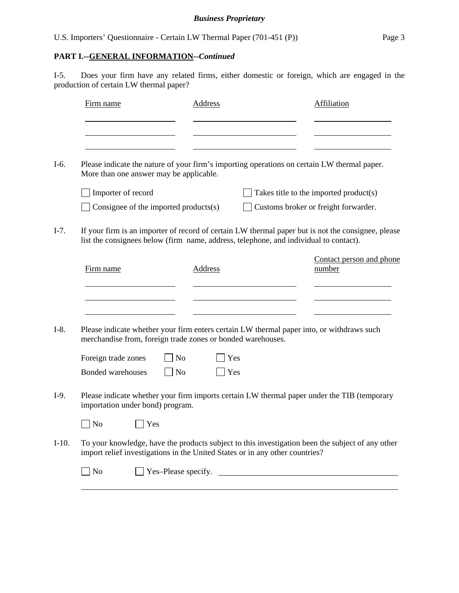| U.S. Importers' Questionnaire - Certain LW Thermal Paper (701-451 (P)) |  |  |  |  |  |  | Page 3 |
|------------------------------------------------------------------------|--|--|--|--|--|--|--------|
|------------------------------------------------------------------------|--|--|--|--|--|--|--------|

# **PART I.--GENERAL INFORMATION***--Continued*

I-5. Does your firm have any related firms, either domestic or foreign, which are engaged in the production of certain LW thermal paper?

| Firm name           |                                                             | Address        |                                                                                       | <b>Affiliation</b>                                                                                 |
|---------------------|-------------------------------------------------------------|----------------|---------------------------------------------------------------------------------------|----------------------------------------------------------------------------------------------------|
|                     |                                                             |                |                                                                                       |                                                                                                    |
|                     | More than one answer may be applicable.                     |                |                                                                                       | Please indicate the nature of your firm's importing operations on certain LW thermal paper.        |
| Importer of record  |                                                             |                |                                                                                       | Takes title to the imported product(s)                                                             |
|                     | Consignee of the imported products(s)                       |                |                                                                                       | Customs broker or freight forwarder.                                                               |
|                     |                                                             |                | list the consignees below (firm name, address, telephone, and individual to contact). | If your firm is an importer of record of certain LW thermal paper but is not the consignee, please |
| Firm name           |                                                             | <b>Address</b> |                                                                                       | Contact person and phone<br>number                                                                 |
|                     |                                                             |                |                                                                                       |                                                                                                    |
|                     |                                                             |                |                                                                                       | Please indicate whether your firm enters certain LW thermal paper into, or withdraws such          |
|                     | merchandise from, foreign trade zones or bonded warehouses. |                |                                                                                       |                                                                                                    |
| Foreign trade zones | N <sub>o</sub>                                              | Yes            |                                                                                       |                                                                                                    |
| Bonded warehouses   | <b>No</b>                                                   | Ves            |                                                                                       |                                                                                                    |
|                     | importation under bond) program.                            |                |                                                                                       | Please indicate whether your firm imports certain LW thermal paper under the TIB (temporary        |
| $\blacksquare$ No   | $\Box$ Yes                                                  |                |                                                                                       |                                                                                                    |
|                     |                                                             |                | import relief investigations in the United States or in any other countries?          | To your knowledge, have the products subject to this investigation been the subject of any other   |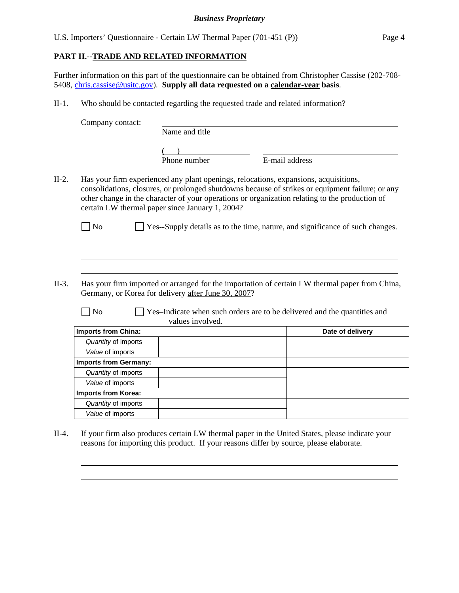U.S. Importers' Questionnaire - Certain LW Thermal Paper (701-451 (P)) Page 4

# **PART II.--TRADE AND RELATED INFORMATION**

Further information on this part of the questionnaire can be obtained from Christopher Cassise (202-708- 5408, chris.cassise@usitc.gov). **Supply all data requested on a calendar-year basis**.

II-1. Who should be contacted regarding the requested trade and related information?

Company contact:

 $\overline{a}$  $\overline{a}$  $\overline{a}$ 

l  $\overline{a}$  $\overline{a}$ 

|  |  | Name and title |
|--|--|----------------|
|  |  |                |

 $($  $\frac{1}{2}$  Phone number  $\frac{1}{2}$  E-mail address

II-2. Has your firm experienced any plant openings, relocations, expansions, acquisitions, consolidations, closures, or prolonged shutdowns because of strikes or equipment failure; or any other change in the character of your operations or organization relating to the production of certain LW thermal paper since January 1, 2004?

 $\Box$  No  $\Box$  Yes--Supply details as to the time, nature, and significance of such changes.

II-3. Has your firm imported or arranged for the importation of certain LW thermal paper from China, Germany, or Korea for delivery after June 30, 2007?

 $\Box$  No  $\Box$  Yes–Indicate when such orders are to be delivered and the quantities and values involved.

| <b>Imports from China:</b>   | Date of delivery |
|------------------------------|------------------|
| Quantity of imports          |                  |
| Value of imports             |                  |
| <b>Imports from Germany:</b> |                  |
| Quantity of imports          |                  |
| Value of imports             |                  |
| <b>Imports from Korea:</b>   |                  |
| Quantity of imports          |                  |
| Value of imports             |                  |

II-4. If your firm also produces certain LW thermal paper in the United States, please indicate your reasons for importing this product. If your reasons differ by source, please elaborate.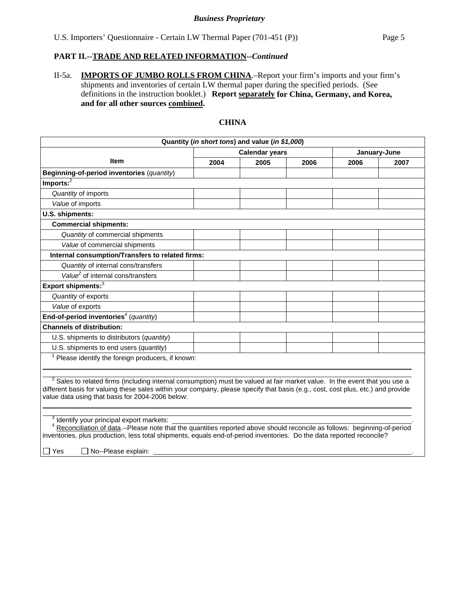II-5a. **IMPORTS OF JUMBO ROLLS FROM CHINA**.–Report your firm's imports and your firm's shipments and inventories of certain LW thermal paper during the specified periods. (See definitions in the instruction booklet.) **Report separately for China, Germany, and Korea, and for all other sources combined.** 

# **CHINA**

| Quantity (in short tons) and value (in \$1,000)                                                                                                                                                                                                                                                                                                |                                       |      |      |      |      |  |  |
|------------------------------------------------------------------------------------------------------------------------------------------------------------------------------------------------------------------------------------------------------------------------------------------------------------------------------------------------|---------------------------------------|------|------|------|------|--|--|
|                                                                                                                                                                                                                                                                                                                                                | <b>Calendar years</b><br>January-June |      |      |      |      |  |  |
| <b>Item</b>                                                                                                                                                                                                                                                                                                                                    | 2004                                  | 2005 | 2006 | 2006 | 2007 |  |  |
| Beginning-of-period inventories (quantity)                                                                                                                                                                                                                                                                                                     |                                       |      |      |      |      |  |  |
| Imports: <sup>2</sup>                                                                                                                                                                                                                                                                                                                          |                                       |      |      |      |      |  |  |
| Quantity of imports                                                                                                                                                                                                                                                                                                                            |                                       |      |      |      |      |  |  |
| Value of imports                                                                                                                                                                                                                                                                                                                               |                                       |      |      |      |      |  |  |
| U.S. shipments:                                                                                                                                                                                                                                                                                                                                |                                       |      |      |      |      |  |  |
| <b>Commercial shipments:</b>                                                                                                                                                                                                                                                                                                                   |                                       |      |      |      |      |  |  |
| Quantity of commercial shipments                                                                                                                                                                                                                                                                                                               |                                       |      |      |      |      |  |  |
| Value of commercial shipments                                                                                                                                                                                                                                                                                                                  |                                       |      |      |      |      |  |  |
| Internal consumption/Transfers to related firms:                                                                                                                                                                                                                                                                                               |                                       |      |      |      |      |  |  |
| Quantity of internal cons/transfers                                                                                                                                                                                                                                                                                                            |                                       |      |      |      |      |  |  |
| Value <sup>2</sup> of internal cons/transfers                                                                                                                                                                                                                                                                                                  |                                       |      |      |      |      |  |  |
| Export shipments: <sup>3</sup>                                                                                                                                                                                                                                                                                                                 |                                       |      |      |      |      |  |  |
| Quantity of exports                                                                                                                                                                                                                                                                                                                            |                                       |      |      |      |      |  |  |
| Value of exports                                                                                                                                                                                                                                                                                                                               |                                       |      |      |      |      |  |  |
| End-of-period inventories <sup>4</sup> (quantity)                                                                                                                                                                                                                                                                                              |                                       |      |      |      |      |  |  |
| <b>Channels of distribution:</b>                                                                                                                                                                                                                                                                                                               |                                       |      |      |      |      |  |  |
| U.S. shipments to distributors (quantity)                                                                                                                                                                                                                                                                                                      |                                       |      |      |      |      |  |  |
| U.S. shipments to end users (quantity)                                                                                                                                                                                                                                                                                                         |                                       |      |      |      |      |  |  |
| $1$ Please identify the foreign producers, if known:                                                                                                                                                                                                                                                                                           |                                       |      |      |      |      |  |  |
| <sup>2</sup> Sales to related firms (including internal consumption) must be valued at fair market value. In the event that you use a<br>different basis for valuing these sales within your company, please specify that basis (e.g., cost, cost plus, etc.) and provide<br>value data using that basis for 2004-2006 below:                  |                                       |      |      |      |      |  |  |
| <sup>3</sup> Identify your principal export markets:<br>Reconciliation of data.--Please note that the quantities reported above should reconcile as follows: beginning-of-period<br>inventories, plus production, less total shipments, equals end-of-period inventories. Do the data reported reconcile?<br>$\Box$ Yes<br>No--Please explain: |                                       |      |      |      |      |  |  |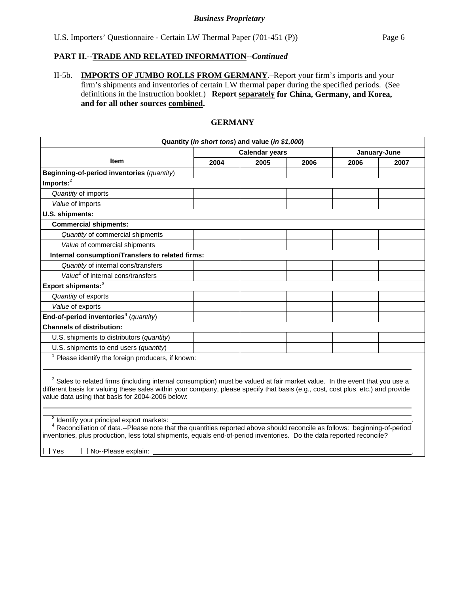II-5b. **IMPORTS OF JUMBO ROLLS FROM GERMANY**.–Report your firm's imports and your firm's shipments and inventories of certain LW thermal paper during the specified periods. (See definitions in the instruction booklet.) **Report separately for China, Germany, and Korea, and for all other sources combined.** 

#### **GERMANY**

| Quantity (in short tons) and value (in \$1,000)                                                                                                                                                                                                                                                                                                |                                       |      |      |      |      |  |
|------------------------------------------------------------------------------------------------------------------------------------------------------------------------------------------------------------------------------------------------------------------------------------------------------------------------------------------------|---------------------------------------|------|------|------|------|--|
|                                                                                                                                                                                                                                                                                                                                                | <b>Calendar years</b><br>January-June |      |      |      |      |  |
| <b>Item</b>                                                                                                                                                                                                                                                                                                                                    | 2004                                  | 2005 | 2006 | 2006 | 2007 |  |
| Beginning-of-period inventories (quantity)                                                                                                                                                                                                                                                                                                     |                                       |      |      |      |      |  |
| Imports: $^2$                                                                                                                                                                                                                                                                                                                                  |                                       |      |      |      |      |  |
| Quantity of imports                                                                                                                                                                                                                                                                                                                            |                                       |      |      |      |      |  |
| Value of imports                                                                                                                                                                                                                                                                                                                               |                                       |      |      |      |      |  |
| U.S. shipments:                                                                                                                                                                                                                                                                                                                                |                                       |      |      |      |      |  |
| <b>Commercial shipments:</b>                                                                                                                                                                                                                                                                                                                   |                                       |      |      |      |      |  |
| Quantity of commercial shipments                                                                                                                                                                                                                                                                                                               |                                       |      |      |      |      |  |
| Value of commercial shipments                                                                                                                                                                                                                                                                                                                  |                                       |      |      |      |      |  |
| Internal consumption/Transfers to related firms:                                                                                                                                                                                                                                                                                               |                                       |      |      |      |      |  |
| Quantity of internal cons/transfers                                                                                                                                                                                                                                                                                                            |                                       |      |      |      |      |  |
| Value <sup>2</sup> of internal cons/transfers                                                                                                                                                                                                                                                                                                  |                                       |      |      |      |      |  |
| Export shipments: <sup>3</sup>                                                                                                                                                                                                                                                                                                                 |                                       |      |      |      |      |  |
| Quantity of exports                                                                                                                                                                                                                                                                                                                            |                                       |      |      |      |      |  |
| Value of exports                                                                                                                                                                                                                                                                                                                               |                                       |      |      |      |      |  |
| End-of-period inventories <sup>4</sup> (quantity)                                                                                                                                                                                                                                                                                              |                                       |      |      |      |      |  |
| <b>Channels of distribution:</b>                                                                                                                                                                                                                                                                                                               |                                       |      |      |      |      |  |
| U.S. shipments to distributors (quantity)                                                                                                                                                                                                                                                                                                      |                                       |      |      |      |      |  |
| U.S. shipments to end users (quantity)                                                                                                                                                                                                                                                                                                         |                                       |      |      |      |      |  |
| $1$ Please identify the foreign producers, if known:                                                                                                                                                                                                                                                                                           |                                       |      |      |      |      |  |
| <sup>2</sup> Sales to related firms (including internal consumption) must be valued at fair market value. In the event that you use a<br>different basis for valuing these sales within your company, please specify that basis (e.g., cost, cost plus, etc.) and provide<br>value data using that basis for 2004-2006 below:                  |                                       |      |      |      |      |  |
| <sup>3</sup> Identify your principal export markets:<br>Reconciliation of data.--Please note that the quantities reported above should reconcile as follows: beginning-of-period<br>inventories, plus production, less total shipments, equals end-of-period inventories. Do the data reported reconcile?<br>$\Box$ Yes<br>No--Please explain: |                                       |      |      |      |      |  |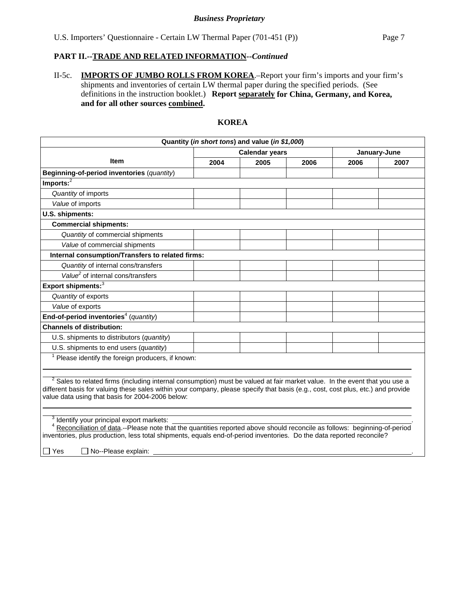II-5c. **IMPORTS OF JUMBO ROLLS FROM KOREA**.–Report your firm's imports and your firm's shipments and inventories of certain LW thermal paper during the specified periods. (See definitions in the instruction booklet.) **Report separately for China, Germany, and Korea, and for all other sources combined.** 

# **KOREA**

|                                                                                                                                                                                                                                                                                                                                                                                       |      | Quantity (in short tons) and value (in \$1,000) |              |      |      |
|---------------------------------------------------------------------------------------------------------------------------------------------------------------------------------------------------------------------------------------------------------------------------------------------------------------------------------------------------------------------------------------|------|-------------------------------------------------|--------------|------|------|
|                                                                                                                                                                                                                                                                                                                                                                                       |      | <b>Calendar years</b>                           | January-June |      |      |
| <b>Item</b>                                                                                                                                                                                                                                                                                                                                                                           | 2004 | 2005                                            | 2006         | 2006 | 2007 |
| Beginning-of-period inventories (quantity)                                                                                                                                                                                                                                                                                                                                            |      |                                                 |              |      |      |
| Imports: <sup>2</sup>                                                                                                                                                                                                                                                                                                                                                                 |      |                                                 |              |      |      |
| Quantity of imports                                                                                                                                                                                                                                                                                                                                                                   |      |                                                 |              |      |      |
| Value of imports                                                                                                                                                                                                                                                                                                                                                                      |      |                                                 |              |      |      |
| U.S. shipments:                                                                                                                                                                                                                                                                                                                                                                       |      |                                                 |              |      |      |
| <b>Commercial shipments:</b>                                                                                                                                                                                                                                                                                                                                                          |      |                                                 |              |      |      |
| Quantity of commercial shipments                                                                                                                                                                                                                                                                                                                                                      |      |                                                 |              |      |      |
| Value of commercial shipments                                                                                                                                                                                                                                                                                                                                                         |      |                                                 |              |      |      |
| Internal consumption/Transfers to related firms:                                                                                                                                                                                                                                                                                                                                      |      |                                                 |              |      |      |
| Quantity of internal cons/transfers                                                                                                                                                                                                                                                                                                                                                   |      |                                                 |              |      |      |
| Value <sup>2</sup> of internal cons/transfers                                                                                                                                                                                                                                                                                                                                         |      |                                                 |              |      |      |
| Export shipments: <sup>3</sup>                                                                                                                                                                                                                                                                                                                                                        |      |                                                 |              |      |      |
| Quantity of exports                                                                                                                                                                                                                                                                                                                                                                   |      |                                                 |              |      |      |
| Value of exports                                                                                                                                                                                                                                                                                                                                                                      |      |                                                 |              |      |      |
| End-of-period inventories <sup>4</sup> (quantity)                                                                                                                                                                                                                                                                                                                                     |      |                                                 |              |      |      |
| <b>Channels of distribution:</b>                                                                                                                                                                                                                                                                                                                                                      |      |                                                 |              |      |      |
| U.S. shipments to distributors (quantity)                                                                                                                                                                                                                                                                                                                                             |      |                                                 |              |      |      |
| U.S. shipments to end users (quantity)                                                                                                                                                                                                                                                                                                                                                |      |                                                 |              |      |      |
| $1$ Please identify the foreign producers, if known:                                                                                                                                                                                                                                                                                                                                  |      |                                                 |              |      |      |
| <sup>2</sup> Sales to related firms (including internal consumption) must be valued at fair market value. In the event that you use a<br>different basis for valuing these sales within your company, please specify that basis (e.g., cost, cost plus, etc.) and provide<br>value data using that basis for 2004-2006 below:<br><sup>3</sup> Identify your principal export markets: |      |                                                 |              |      |      |
| Reconciliation of data.--Please note that the quantities reported above should reconcile as follows: beginning-of-period<br>inventories, plus production, less total shipments, equals end-of-period inventories. Do the data reported reconcile?                                                                                                                                     |      |                                                 |              |      |      |
| $\Box$ Yes<br>□ No--Please explain:                                                                                                                                                                                                                                                                                                                                                   |      |                                                 |              |      |      |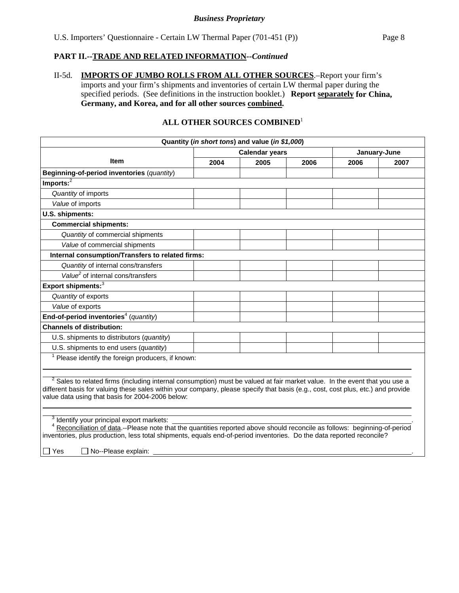II-5d. **IMPORTS OF JUMBO ROLLS FROM ALL OTHER SOURCES**.–Report your firm's imports and your firm's shipments and inventories of certain LW thermal paper during the specified periods. (See definitions in the instruction booklet.) **Report separately for China, Germany, and Korea, and for all other sources combined.** 

# **ALL OTHER SOURCES COMBINED**<sup>1</sup>

| Quantity (in short tons) and value (in \$1,000)                                                                                                                                                                                                                                                                                                                                                                                                                                                                                                                                                                                            |      |                       |              |      |      |  |
|--------------------------------------------------------------------------------------------------------------------------------------------------------------------------------------------------------------------------------------------------------------------------------------------------------------------------------------------------------------------------------------------------------------------------------------------------------------------------------------------------------------------------------------------------------------------------------------------------------------------------------------------|------|-----------------------|--------------|------|------|--|
|                                                                                                                                                                                                                                                                                                                                                                                                                                                                                                                                                                                                                                            |      | <b>Calendar years</b> | January-June |      |      |  |
| <b>Item</b>                                                                                                                                                                                                                                                                                                                                                                                                                                                                                                                                                                                                                                | 2004 | 2005                  | 2006         | 2006 | 2007 |  |
| Beginning-of-period inventories (quantity)                                                                                                                                                                                                                                                                                                                                                                                                                                                                                                                                                                                                 |      |                       |              |      |      |  |
| Imports: <sup>2</sup>                                                                                                                                                                                                                                                                                                                                                                                                                                                                                                                                                                                                                      |      |                       |              |      |      |  |
| Quantity of imports                                                                                                                                                                                                                                                                                                                                                                                                                                                                                                                                                                                                                        |      |                       |              |      |      |  |
| Value of imports                                                                                                                                                                                                                                                                                                                                                                                                                                                                                                                                                                                                                           |      |                       |              |      |      |  |
| U.S. shipments:                                                                                                                                                                                                                                                                                                                                                                                                                                                                                                                                                                                                                            |      |                       |              |      |      |  |
| <b>Commercial shipments:</b>                                                                                                                                                                                                                                                                                                                                                                                                                                                                                                                                                                                                               |      |                       |              |      |      |  |
| Quantity of commercial shipments                                                                                                                                                                                                                                                                                                                                                                                                                                                                                                                                                                                                           |      |                       |              |      |      |  |
| Value of commercial shipments                                                                                                                                                                                                                                                                                                                                                                                                                                                                                                                                                                                                              |      |                       |              |      |      |  |
| Internal consumption/Transfers to related firms:                                                                                                                                                                                                                                                                                                                                                                                                                                                                                                                                                                                           |      |                       |              |      |      |  |
| Quantity of internal cons/transfers                                                                                                                                                                                                                                                                                                                                                                                                                                                                                                                                                                                                        |      |                       |              |      |      |  |
| Value <sup>2</sup> of internal cons/transfers                                                                                                                                                                                                                                                                                                                                                                                                                                                                                                                                                                                              |      |                       |              |      |      |  |
| Export shipments: <sup>3</sup>                                                                                                                                                                                                                                                                                                                                                                                                                                                                                                                                                                                                             |      |                       |              |      |      |  |
| Quantity of exports                                                                                                                                                                                                                                                                                                                                                                                                                                                                                                                                                                                                                        |      |                       |              |      |      |  |
| Value of exports                                                                                                                                                                                                                                                                                                                                                                                                                                                                                                                                                                                                                           |      |                       |              |      |      |  |
| End-of-period inventories <sup>4</sup> (quantity)                                                                                                                                                                                                                                                                                                                                                                                                                                                                                                                                                                                          |      |                       |              |      |      |  |
| <b>Channels of distribution:</b>                                                                                                                                                                                                                                                                                                                                                                                                                                                                                                                                                                                                           |      |                       |              |      |      |  |
| U.S. shipments to distributors (quantity)                                                                                                                                                                                                                                                                                                                                                                                                                                                                                                                                                                                                  |      |                       |              |      |      |  |
| U.S. shipments to end users (quantity)                                                                                                                                                                                                                                                                                                                                                                                                                                                                                                                                                                                                     |      |                       |              |      |      |  |
| $1$ Please identify the foreign producers, if known:                                                                                                                                                                                                                                                                                                                                                                                                                                                                                                                                                                                       |      |                       |              |      |      |  |
| <sup>2</sup> Sales to related firms (including internal consumption) must be valued at fair market value. In the event that you use a<br>different basis for valuing these sales within your company, please specify that basis (e.g., cost, cost plus, etc.) and provide<br>value data using that basis for 2004-2006 below:<br><sup>3</sup> Identify your principal export markets:<br>Reconciliation of data.--Please note that the quantities reported above should reconcile as follows: beginning-of-period<br>inventories, plus production, less total shipments, equals end-of-period inventories. Do the data reported reconcile? |      |                       |              |      |      |  |
| $\Box$ Yes<br>No--Please explain:                                                                                                                                                                                                                                                                                                                                                                                                                                                                                                                                                                                                          |      |                       |              |      |      |  |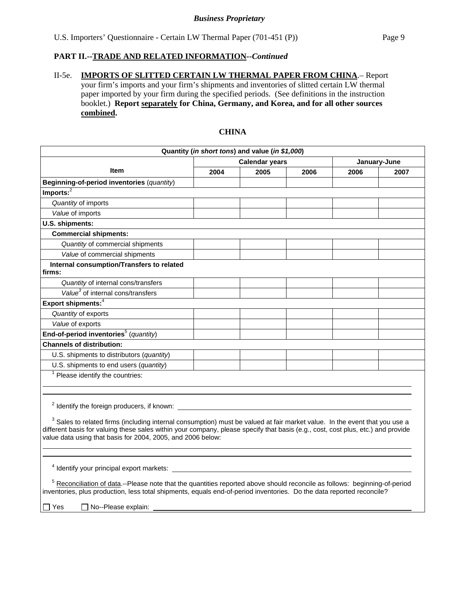II-5e. **IMPORTS OF SLITTED CERTAIN LW THERMAL PAPER FROM CHINA**.– Report your firm's imports and your firm's shipments and inventories of slitted certain LW thermal paper imported by your firm during the specified periods. (See definitions in the instruction booklet.) **Report separately for China, Germany, and Korea, and for all other sources combined.** 

# **CHINA**

| Quantity (in short tons) and value (in \$1,000)                                                                                                                                                                                                                                                                                          |      |                       |              |      |      |  |
|------------------------------------------------------------------------------------------------------------------------------------------------------------------------------------------------------------------------------------------------------------------------------------------------------------------------------------------|------|-----------------------|--------------|------|------|--|
|                                                                                                                                                                                                                                                                                                                                          |      | <b>Calendar years</b> | January-June |      |      |  |
| <b>Item</b>                                                                                                                                                                                                                                                                                                                              | 2004 | 2005                  | 2006         | 2006 | 2007 |  |
| Beginning-of-period inventories (quantity)                                                                                                                                                                                                                                                                                               |      |                       |              |      |      |  |
| $Imports:$ <sup>2</sup>                                                                                                                                                                                                                                                                                                                  |      |                       |              |      |      |  |
| Quantity of imports                                                                                                                                                                                                                                                                                                                      |      |                       |              |      |      |  |
| Value of imports                                                                                                                                                                                                                                                                                                                         |      |                       |              |      |      |  |
| U.S. shipments:                                                                                                                                                                                                                                                                                                                          |      |                       |              |      |      |  |
| <b>Commercial shipments:</b>                                                                                                                                                                                                                                                                                                             |      |                       |              |      |      |  |
| Quantity of commercial shipments                                                                                                                                                                                                                                                                                                         |      |                       |              |      |      |  |
| Value of commercial shipments                                                                                                                                                                                                                                                                                                            |      |                       |              |      |      |  |
| Internal consumption/Transfers to related<br>firms:                                                                                                                                                                                                                                                                                      |      |                       |              |      |      |  |
| Quantity of internal cons/transfers                                                                                                                                                                                                                                                                                                      |      |                       |              |      |      |  |
| Value <sup>3</sup> of internal cons/transfers                                                                                                                                                                                                                                                                                            |      |                       |              |      |      |  |
| Export shipments: <sup>4</sup>                                                                                                                                                                                                                                                                                                           |      |                       |              |      |      |  |
| Quantity of exports                                                                                                                                                                                                                                                                                                                      |      |                       |              |      |      |  |
| Value of exports                                                                                                                                                                                                                                                                                                                         |      |                       |              |      |      |  |
| End-of-period inventories <sup>5</sup> (quantity)                                                                                                                                                                                                                                                                                        |      |                       |              |      |      |  |
| <b>Channels of distribution:</b>                                                                                                                                                                                                                                                                                                         |      |                       |              |      |      |  |
| U.S. shipments to distributors (quantity)                                                                                                                                                                                                                                                                                                |      |                       |              |      |      |  |
| U.S. shipments to end users (quantity)                                                                                                                                                                                                                                                                                                   |      |                       |              |      |      |  |
| $1$ Please identify the countries:                                                                                                                                                                                                                                                                                                       |      |                       |              |      |      |  |
| $2$ Identify the foreign producers, if known: $\overline{\phantom{a}}$                                                                                                                                                                                                                                                                   |      |                       |              |      |      |  |
| <sup>3</sup> Sales to related firms (including internal consumption) must be valued at fair market value. In the event that you use a<br>different basis for valuing these sales within your company, please specify that basis (e.g., cost, cost plus, etc.) and provide<br>value data using that basis for 2004, 2005, and 2006 below: |      |                       |              |      |      |  |
|                                                                                                                                                                                                                                                                                                                                          |      |                       |              |      |      |  |
| <sup>4</sup> Identify your principal export markets:                                                                                                                                                                                                                                                                                     |      |                       |              |      |      |  |
| <sup>5</sup> Reconciliation of data.--Please note that the quantities reported above should reconcile as follows: beginning-of-period<br>inventories, plus production, less total shipments, equals end-of-period inventories. Do the data reported reconcile?                                                                           |      |                       |              |      |      |  |
| No--Please explain:<br>l IYes                                                                                                                                                                                                                                                                                                            |      |                       |              |      |      |  |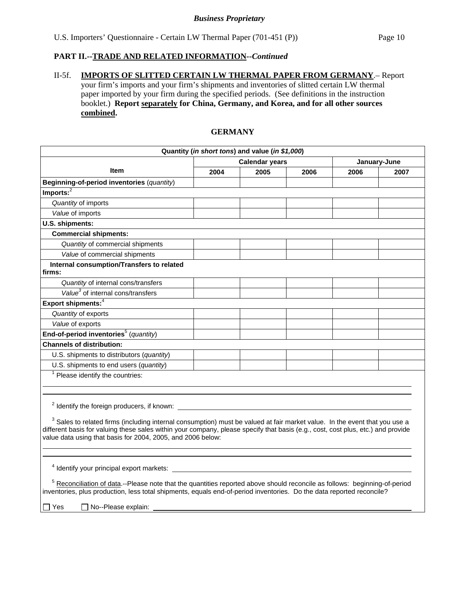## II-5f. **IMPORTS OF SLITTED CERTAIN LW THERMAL PAPER FROM GERMANY**.– Report your firm's imports and your firm's shipments and inventories of slitted certain LW thermal paper imported by your firm during the specified periods. (See definitions in the instruction booklet.) **Report separately for China, Germany, and Korea, and for all other sources combined.**

# **GERMANY**

| Quantity (in short tons) and value (in \$1,000)                                                                                                                                                                                                                                                                                          |      |                       |      |              |      |  |  |
|------------------------------------------------------------------------------------------------------------------------------------------------------------------------------------------------------------------------------------------------------------------------------------------------------------------------------------------|------|-----------------------|------|--------------|------|--|--|
|                                                                                                                                                                                                                                                                                                                                          |      | <b>Calendar years</b> |      | January-June |      |  |  |
| <b>Item</b>                                                                                                                                                                                                                                                                                                                              | 2004 | 2005                  | 2006 | 2006         | 2007 |  |  |
| Beginning-of-period inventories (quantity)                                                                                                                                                                                                                                                                                               |      |                       |      |              |      |  |  |
| $Imports:$ <sup>2</sup>                                                                                                                                                                                                                                                                                                                  |      |                       |      |              |      |  |  |
| Quantity of imports                                                                                                                                                                                                                                                                                                                      |      |                       |      |              |      |  |  |
| Value of imports                                                                                                                                                                                                                                                                                                                         |      |                       |      |              |      |  |  |
| U.S. shipments:                                                                                                                                                                                                                                                                                                                          |      |                       |      |              |      |  |  |
| <b>Commercial shipments:</b>                                                                                                                                                                                                                                                                                                             |      |                       |      |              |      |  |  |
| Quantity of commercial shipments                                                                                                                                                                                                                                                                                                         |      |                       |      |              |      |  |  |
| Value of commercial shipments                                                                                                                                                                                                                                                                                                            |      |                       |      |              |      |  |  |
| Internal consumption/Transfers to related<br>firms:                                                                                                                                                                                                                                                                                      |      |                       |      |              |      |  |  |
| Quantity of internal cons/transfers                                                                                                                                                                                                                                                                                                      |      |                       |      |              |      |  |  |
| $\overline{Value}^3$ of internal cons/transfers                                                                                                                                                                                                                                                                                          |      |                       |      |              |      |  |  |
| Export shipments: <sup>4</sup>                                                                                                                                                                                                                                                                                                           |      |                       |      |              |      |  |  |
| Quantity of exports                                                                                                                                                                                                                                                                                                                      |      |                       |      |              |      |  |  |
| Value of exports                                                                                                                                                                                                                                                                                                                         |      |                       |      |              |      |  |  |
| End-of-period inventories <sup>5</sup> (quantity)                                                                                                                                                                                                                                                                                        |      |                       |      |              |      |  |  |
| <b>Channels of distribution:</b>                                                                                                                                                                                                                                                                                                         |      |                       |      |              |      |  |  |
| U.S. shipments to distributors (quantity)                                                                                                                                                                                                                                                                                                |      |                       |      |              |      |  |  |
| U.S. shipments to end users (quantity)                                                                                                                                                                                                                                                                                                   |      |                       |      |              |      |  |  |
| Please identify the countries:                                                                                                                                                                                                                                                                                                           |      |                       |      |              |      |  |  |
| <sup>2</sup> Identify the foreign producers, if known:                                                                                                                                                                                                                                                                                   |      |                       |      |              |      |  |  |
| <sup>3</sup> Sales to related firms (including internal consumption) must be valued at fair market value. In the event that you use a<br>different basis for valuing these sales within your company, please specify that basis (e.g., cost, cost plus, etc.) and provide<br>value data using that basis for 2004, 2005, and 2006 below: |      |                       |      |              |      |  |  |
|                                                                                                                                                                                                                                                                                                                                          |      |                       |      |              |      |  |  |
| <sup>4</sup> Identify your principal export markets:                                                                                                                                                                                                                                                                                     |      |                       |      |              |      |  |  |
| <sup>5</sup> Reconciliation of data.--Please note that the quantities reported above should reconcile as follows: beginning-of-period<br>inventories, plus production, less total shipments, equals end-of-period inventories. Do the data reported reconcile?                                                                           |      |                       |      |              |      |  |  |
| □ Yes<br>No--Please explain:                                                                                                                                                                                                                                                                                                             |      |                       |      |              |      |  |  |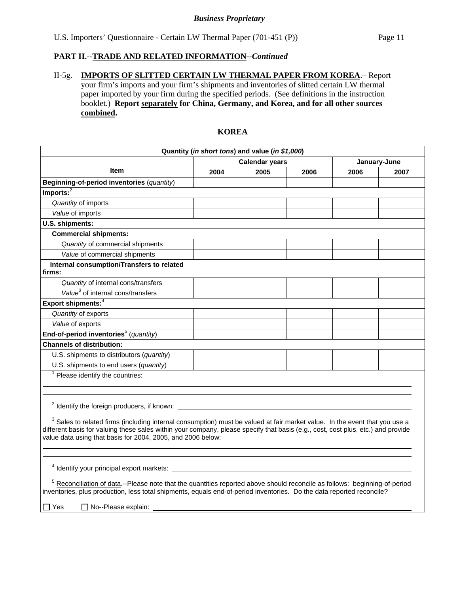| II-5 $\sigma$ . | <b>IMPORTS OF SLITTED CERTAIN LW THERMAL PAPER FROM KOREA</b> - Report                        |
|-----------------|-----------------------------------------------------------------------------------------------|
|                 | your firm's imports and your firm's shipments and inventories of slitted certain LW thermal   |
|                 | paper imported by your firm during the specified periods. (See definitions in the instruction |
|                 | booklet.) Report separately for China, Germany, and Korea, and for all other sources          |
|                 | combined.                                                                                     |

# **KOREA**

| Quantity (in short tons) and value (in \$1,000)                                                                                                                                                                                                                                                                                          |                                       |      |      |      |      |  |  |  |
|------------------------------------------------------------------------------------------------------------------------------------------------------------------------------------------------------------------------------------------------------------------------------------------------------------------------------------------|---------------------------------------|------|------|------|------|--|--|--|
|                                                                                                                                                                                                                                                                                                                                          | <b>Calendar years</b><br>January-June |      |      |      |      |  |  |  |
| <b>Item</b>                                                                                                                                                                                                                                                                                                                              | 2004                                  | 2005 | 2006 | 2006 | 2007 |  |  |  |
| Beginning-of-period inventories (quantity)                                                                                                                                                                                                                                                                                               |                                       |      |      |      |      |  |  |  |
| $Imports:$ <sup>2</sup>                                                                                                                                                                                                                                                                                                                  |                                       |      |      |      |      |  |  |  |
| Quantity of imports                                                                                                                                                                                                                                                                                                                      |                                       |      |      |      |      |  |  |  |
| Value of imports                                                                                                                                                                                                                                                                                                                         |                                       |      |      |      |      |  |  |  |
| U.S. shipments:                                                                                                                                                                                                                                                                                                                          |                                       |      |      |      |      |  |  |  |
| <b>Commercial shipments:</b>                                                                                                                                                                                                                                                                                                             |                                       |      |      |      |      |  |  |  |
| Quantity of commercial shipments                                                                                                                                                                                                                                                                                                         |                                       |      |      |      |      |  |  |  |
| Value of commercial shipments                                                                                                                                                                                                                                                                                                            |                                       |      |      |      |      |  |  |  |
| Internal consumption/Transfers to related<br>firms:                                                                                                                                                                                                                                                                                      |                                       |      |      |      |      |  |  |  |
| Quantity of internal cons/transfers                                                                                                                                                                                                                                                                                                      |                                       |      |      |      |      |  |  |  |
| Value <sup>3</sup> of internal cons/transfers                                                                                                                                                                                                                                                                                            |                                       |      |      |      |      |  |  |  |
| Export shipments: <sup>4</sup>                                                                                                                                                                                                                                                                                                           |                                       |      |      |      |      |  |  |  |
| Quantity of exports                                                                                                                                                                                                                                                                                                                      |                                       |      |      |      |      |  |  |  |
| Value of exports                                                                                                                                                                                                                                                                                                                         |                                       |      |      |      |      |  |  |  |
| End-of-period inventories <sup>5</sup> (quantity)                                                                                                                                                                                                                                                                                        |                                       |      |      |      |      |  |  |  |
| <b>Channels of distribution:</b>                                                                                                                                                                                                                                                                                                         |                                       |      |      |      |      |  |  |  |
| U.S. shipments to distributors (quantity)                                                                                                                                                                                                                                                                                                |                                       |      |      |      |      |  |  |  |
| U.S. shipments to end users (quantity)                                                                                                                                                                                                                                                                                                   |                                       |      |      |      |      |  |  |  |
| $1$ Please identify the countries:                                                                                                                                                                                                                                                                                                       |                                       |      |      |      |      |  |  |  |
| $2$ Identify the foreign producers, if known: $\frac{1}{2}$                                                                                                                                                                                                                                                                              |                                       |      |      |      |      |  |  |  |
| <sup>3</sup> Sales to related firms (including internal consumption) must be valued at fair market value. In the event that you use a<br>different basis for valuing these sales within your company, please specify that basis (e.g., cost, cost plus, etc.) and provide<br>value data using that basis for 2004, 2005, and 2006 below: |                                       |      |      |      |      |  |  |  |
| <sup>4</sup> Identify your principal export markets:                                                                                                                                                                                                                                                                                     |                                       |      |      |      |      |  |  |  |
| <sup>5</sup> Reconciliation of data.--Please note that the quantities reported above should reconcile as follows: beginning-of-period<br>inventories, plus production, less total shipments, equals end-of-period inventories. Do the data reported reconcile?                                                                           |                                       |      |      |      |      |  |  |  |
| $\sqcap$ Yes<br>No--Please explain:                                                                                                                                                                                                                                                                                                      |                                       |      |      |      |      |  |  |  |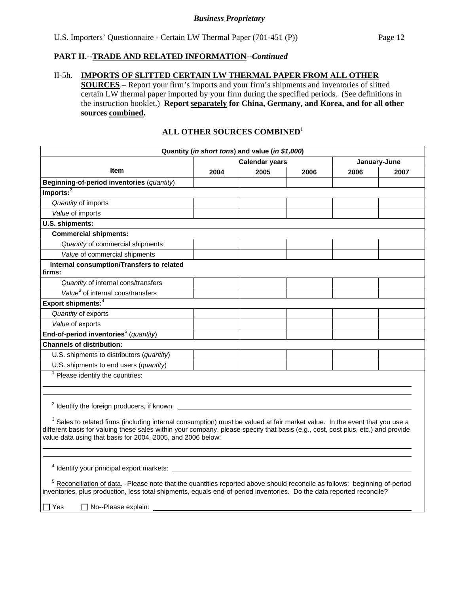# II-5h. **IMPORTS OF SLITTED CERTAIN LW THERMAL PAPER FROM ALL OTHER**

**SOURCES**.– Report your firm's imports and your firm's shipments and inventories of slitted certain LW thermal paper imported by your firm during the specified periods. (See definitions in the instruction booklet.) **Report separately for China, Germany, and Korea, and for all other sources combined.** 

# **ALL OTHER SOURCES COMBINED**<sup>1</sup>

| Quantity (in short tons) and value (in \$1,000)                                                                                                                                                                                                                                                                                                                                                    |                                       |      |      |      |      |  |  |  |
|----------------------------------------------------------------------------------------------------------------------------------------------------------------------------------------------------------------------------------------------------------------------------------------------------------------------------------------------------------------------------------------------------|---------------------------------------|------|------|------|------|--|--|--|
|                                                                                                                                                                                                                                                                                                                                                                                                    | <b>Calendar years</b><br>January-June |      |      |      |      |  |  |  |
| Item                                                                                                                                                                                                                                                                                                                                                                                               | 2004                                  | 2005 | 2006 | 2006 | 2007 |  |  |  |
| Beginning-of-period inventories (quantity)                                                                                                                                                                                                                                                                                                                                                         |                                       |      |      |      |      |  |  |  |
| Imports: <sup>2</sup>                                                                                                                                                                                                                                                                                                                                                                              |                                       |      |      |      |      |  |  |  |
| Quantity of imports                                                                                                                                                                                                                                                                                                                                                                                |                                       |      |      |      |      |  |  |  |
| Value of imports                                                                                                                                                                                                                                                                                                                                                                                   |                                       |      |      |      |      |  |  |  |
| U.S. shipments:                                                                                                                                                                                                                                                                                                                                                                                    |                                       |      |      |      |      |  |  |  |
| <b>Commercial shipments:</b>                                                                                                                                                                                                                                                                                                                                                                       |                                       |      |      |      |      |  |  |  |
| Quantity of commercial shipments                                                                                                                                                                                                                                                                                                                                                                   |                                       |      |      |      |      |  |  |  |
| Value of commercial shipments                                                                                                                                                                                                                                                                                                                                                                      |                                       |      |      |      |      |  |  |  |
| Internal consumption/Transfers to related<br>firms:                                                                                                                                                                                                                                                                                                                                                |                                       |      |      |      |      |  |  |  |
| Quantity of internal cons/transfers                                                                                                                                                                                                                                                                                                                                                                |                                       |      |      |      |      |  |  |  |
| Value <sup>3</sup> of internal cons/transfers                                                                                                                                                                                                                                                                                                                                                      |                                       |      |      |      |      |  |  |  |
| Export shipments: <sup>4</sup>                                                                                                                                                                                                                                                                                                                                                                     |                                       |      |      |      |      |  |  |  |
| Quantity of exports                                                                                                                                                                                                                                                                                                                                                                                |                                       |      |      |      |      |  |  |  |
| Value of exports                                                                                                                                                                                                                                                                                                                                                                                   |                                       |      |      |      |      |  |  |  |
| End-of-period inventories <sup>5</sup> (quantity)                                                                                                                                                                                                                                                                                                                                                  |                                       |      |      |      |      |  |  |  |
| <b>Channels of distribution:</b>                                                                                                                                                                                                                                                                                                                                                                   |                                       |      |      |      |      |  |  |  |
| U.S. shipments to distributors (quantity)                                                                                                                                                                                                                                                                                                                                                          |                                       |      |      |      |      |  |  |  |
| U.S. shipments to end users (quantity)                                                                                                                                                                                                                                                                                                                                                             |                                       |      |      |      |      |  |  |  |
| $1$ Please identify the countries:                                                                                                                                                                                                                                                                                                                                                                 |                                       |      |      |      |      |  |  |  |
|                                                                                                                                                                                                                                                                                                                                                                                                    |                                       |      |      |      |      |  |  |  |
| <sup>2</sup> Identify the foreign producers, if known:<br><sup>3</sup> Sales to related firms (including internal consumption) must be valued at fair market value. In the event that you use a<br>different basis for valuing these sales within your company, please specify that basis (e.g., cost, cost plus, etc.) and provide<br>value data using that basis for 2004, 2005, and 2006 below: |                                       |      |      |      |      |  |  |  |
| <sup>4</sup> Identify your principal export markets:<br><sup>5</sup> Reconciliation of data.--Please note that the quantities reported above should reconcile as follows: beginning-of-period<br>inventories, plus production, less total shipments, equals end-of-period inventories. Do the data reported reconcile?                                                                             |                                       |      |      |      |      |  |  |  |
| No--Please explain:<br>∏ Yes                                                                                                                                                                                                                                                                                                                                                                       |                                       |      |      |      |      |  |  |  |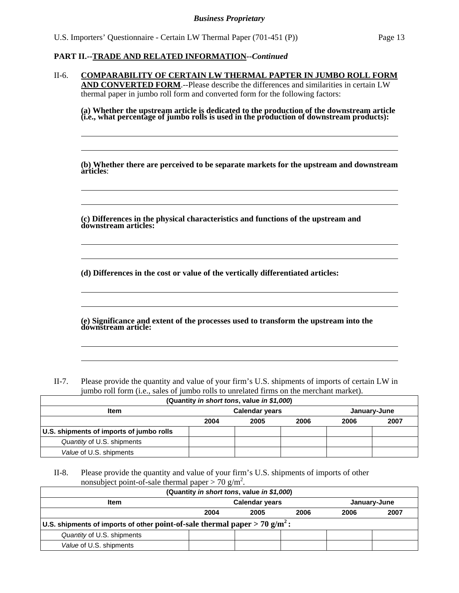l  $\overline{a}$ 

 $\overline{a}$  $\overline{a}$ 

 $\overline{a}$  $\overline{a}$ 

 $\overline{a}$  $\overline{a}$ 

l  $\overline{a}$ 

| $II-6.$ | <b>COMPARABILITY OF CERTAIN LW THERMAL PAPTER IN JUMBO ROLL FORM</b>                       |
|---------|--------------------------------------------------------------------------------------------|
|         | <b>AND CONVERTED FORM.--Please describe the differences and similarities in certain LW</b> |
|         | thermal paper in jumbo roll form and converted form for the following factors:             |

**(a) Whether the upstream article is dedicated to the production of the downstream article (i.e., what percentage of jumbo rolls is used in the production of downstream products):** 

**(b) Whether there are perceived to be separate markets for the upstream and downstream articles**:

**(c) Differences in the physical characteristics and functions of the upstream and downstream articles:** 

**(d) Differences in the cost or value of the vertically differentiated articles:** 

**(e) Significance and extent of the processes used to transform the upstream into the downstream article:** 

II-7. Please provide the quantity and value of your firm's U.S. shipments of imports of certain LW in jumbo roll form (i.e., sales of jumbo rolls to unrelated firms on the merchant market).

| (Quantity in short tons, value in \$1,000) |      |                       |              |      |      |  |  |  |  |  |
|--------------------------------------------|------|-----------------------|--------------|------|------|--|--|--|--|--|
| Item                                       |      | <b>Calendar years</b> | January-June |      |      |  |  |  |  |  |
|                                            | 2004 | 2005                  | 2006         | 2006 | 2007 |  |  |  |  |  |
| U.S. shipments of imports of jumbo rolls   |      |                       |              |      |      |  |  |  |  |  |
| Quantity of U.S. shipments                 |      |                       |              |      |      |  |  |  |  |  |
| Value of U.S. shipments                    |      |                       |              |      |      |  |  |  |  |  |

II-8. Please provide the quantity and value of your firm's U.S. shipments of imports of other nonsubject point-of-sale thermal paper  $> 70$  g/m<sup>2</sup>.

| (Quantity in short tons, value in \$1,000)                                               |      |                       |      |              |      |  |  |  |  |
|------------------------------------------------------------------------------------------|------|-----------------------|------|--------------|------|--|--|--|--|
| <b>Item</b>                                                                              |      | <b>Calendar years</b> |      | January-June |      |  |  |  |  |
|                                                                                          | 2004 | 2005                  | 2006 | 2006         | 2007 |  |  |  |  |
| U.S. shipments of imports of other point-of-sale thermal paper $> 70$ g/m <sup>2</sup> : |      |                       |      |              |      |  |  |  |  |
| Quantity of U.S. shipments                                                               |      |                       |      |              |      |  |  |  |  |
| Value of U.S. shipments                                                                  |      |                       |      |              |      |  |  |  |  |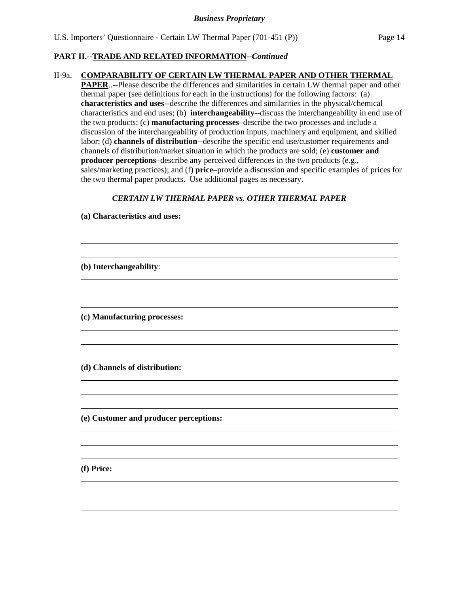#### II-9a. **COMPARABILITY OF CERTAIN LW THERMAL PAPER AND OTHER THERMAL**

**PAPER**..--Please describe the differences and similarities in certain LW thermal paper and other thermal paper (see definitions for each in the instructions) for the following factors: (a) **characteristics and uses**--describe the differences and similarities in the physical/chemical characteristics and end uses; (b) **interchangeability**--discuss the interchangeability in end use of the two products; (c) **manufacturing processes**–describe the two processes and include a discussion of the interchangeability of production inputs, machinery and equipment, and skilled labor; (d) **channels of distribution**--describe the specific end use/customer requirements and channels of distribution/market situation in which the products are sold; (e) **customer and producer perceptions**–describe any perceived differences in the two products (e.g., sales/marketing practices); and (f) **price**–provide a discussion and specific examples of prices for the two thermal paper products. Use additional pages as necessary.

#### *CERTAIN LW THERMAL PAPER vs. OTHER THERMAL PAPER*

|  | (a) Characteristics and uses: |  |  |
|--|-------------------------------|--|--|
|--|-------------------------------|--|--|

**(b) Interchangeability**:

 $\overline{a}$  $\overline{a}$  $\overline{a}$ 

 $\overline{a}$  $\overline{a}$  $\overline{a}$ 

 $\overline{a}$  $\overline{a}$  $\overline{a}$ 

 $\overline{a}$  $\overline{a}$  $\overline{a}$ 

 $\overline{a}$  $\overline{a}$  $\overline{a}$ 

 $\overline{a}$  $\overline{a}$  $\overline{a}$ 

**(c) Manufacturing processes:** 

**(d) Channels of distribution:** 

**(e) Customer and producer perceptions:** 

**(f) Price:**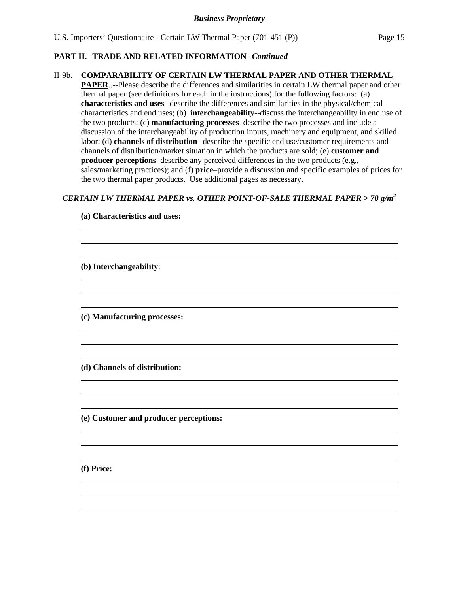#### II-9b. **COMPARABILITY OF CERTAIN LW THERMAL PAPER AND OTHER THERMAL**

**PAPER**..--Please describe the differences and similarities in certain LW thermal paper and other thermal paper (see definitions for each in the instructions) for the following factors: (a) **characteristics and uses**--describe the differences and similarities in the physical/chemical characteristics and end uses; (b) **interchangeability**--discuss the interchangeability in end use of the two products; (c) **manufacturing processes**–describe the two processes and include a discussion of the interchangeability of production inputs, machinery and equipment, and skilled labor; (d) **channels of distribution**--describe the specific end use/customer requirements and channels of distribution/market situation in which the products are sold; (e) **customer and producer perceptions**–describe any perceived differences in the two products (e.g., sales/marketing practices); and (f) **price**–provide a discussion and specific examples of prices for the two thermal paper products. Use additional pages as necessary.

#### *CERTAIN LW THERMAL PAPER vs. OTHER POINT-OF-SALE THERMAL PAPER > 70 g/m2*

**(e) Customer and producer perceptions:** 

**(a) Characteristics and uses:** 

**(f) Price:** 

 $\overline{a}$  $\overline{a}$  $\overline{a}$ 

 $\overline{a}$  $\overline{a}$  $\overline{a}$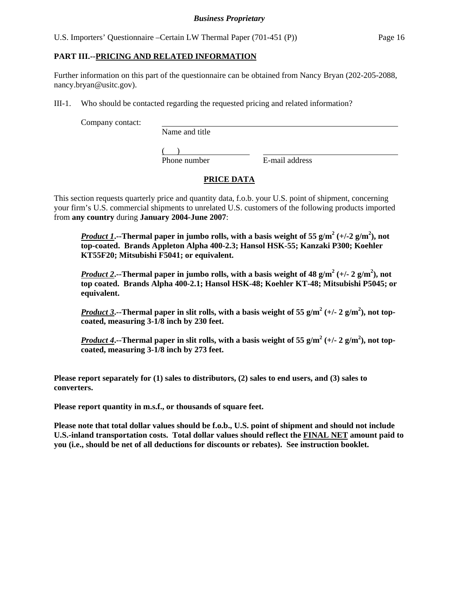U.S. Importers' Questionnaire –Certain LW Thermal Paper (701-451 (P)) Page 16

#### **PART III.--PRICING AND RELATED INFORMATION**

Further information on this part of the questionnaire can be obtained from Nancy Bryan (202-205-2088, nancy.bryan@usitc.gov).

III-1. Who should be contacted regarding the requested pricing and related information?

Company contact:

Name and title

 $($ 

Phone number E-mail address

# **PRICE DATA**

This section requests quarterly price and quantity data, f.o.b. your U.S. point of shipment, concerning your firm's U.S. commercial shipments to unrelated U.S. customers of the following products imported from **any country** during **January 2004-June 2007**:

*Product 1*. --Thermal paper in jumbo rolls, with a basis weight of 55 g/m<sup>2</sup> (+/-2 g/m<sup>2</sup>), not **top-coated. Brands Appleton Alpha 400-2.3; Hansol HSK-55; Kanzaki P300; Koehler KT55F20; Mitsubishi F5041; or equivalent.** 

*Product* 2.--Thermal paper in jumbo rolls, with a basis weight of 48 g/m<sup>2</sup> (+/- 2 g/m<sup>2</sup>), not **top coated. Brands Alpha 400-2.1; Hansol HSK-48; Koehler KT-48; Mitsubishi P5045; or equivalent.**

*Product* 3.--Thermal paper in slit rolls, with a basis weight of 55 g/m<sup>2</sup> (+/- 2 g/m<sup>2</sup>), not top**coated, measuring 3-1/8 inch by 230 feet.** 

*<u>Product 4</u>*. --Thermal paper in slit rolls, with a basis weight of 55 g/m<sup>2</sup> (+/- 2 g/m<sup>2</sup>), not top**coated, measuring 3-1/8 inch by 273 feet.**

**Please report separately for (1) sales to distributors, (2) sales to end users, and (3) sales to converters.** 

**Please report quantity in m.s.f., or thousands of square feet.** 

**Please note that total dollar values should be f.o.b., U.S. point of shipment and should not include U.S.-inland transportation costs. Total dollar values should reflect the FINAL NET amount paid to you (i.e., should be net of all deductions for discounts or rebates). See instruction booklet.**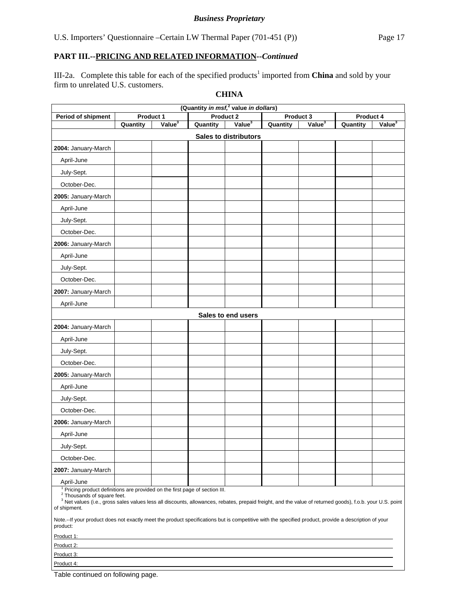III-2a. Complete this table for each of the specified products<sup>1</sup> imported from **China** and sold by your firm to unrelated U.S. customers.

| (Quantity in msf, <sup>2</sup> value in dollars)                                                                                                                                                                                                                                                                                        |           |                    |          |                              |          |                    |           |                    |  |
|-----------------------------------------------------------------------------------------------------------------------------------------------------------------------------------------------------------------------------------------------------------------------------------------------------------------------------------------|-----------|--------------------|----------|------------------------------|----------|--------------------|-----------|--------------------|--|
| Period of shipment                                                                                                                                                                                                                                                                                                                      | Product 1 |                    |          | Product 2                    |          | Product 3          | Product 4 |                    |  |
|                                                                                                                                                                                                                                                                                                                                         | Quantity  | Value <sup>3</sup> | Quantity | Value <sup>3</sup>           | Quantity | Value <sup>3</sup> | Quantity  | Value <sup>3</sup> |  |
|                                                                                                                                                                                                                                                                                                                                         |           |                    |          | <b>Sales to distributors</b> |          |                    |           |                    |  |
| 2004: January-March                                                                                                                                                                                                                                                                                                                     |           |                    |          |                              |          |                    |           |                    |  |
| April-June                                                                                                                                                                                                                                                                                                                              |           |                    |          |                              |          |                    |           |                    |  |
| July-Sept.                                                                                                                                                                                                                                                                                                                              |           |                    |          |                              |          |                    |           |                    |  |
| October-Dec.                                                                                                                                                                                                                                                                                                                            |           |                    |          |                              |          |                    |           |                    |  |
| 2005: January-March                                                                                                                                                                                                                                                                                                                     |           |                    |          |                              |          |                    |           |                    |  |
| April-June                                                                                                                                                                                                                                                                                                                              |           |                    |          |                              |          |                    |           |                    |  |
| July-Sept.                                                                                                                                                                                                                                                                                                                              |           |                    |          |                              |          |                    |           |                    |  |
| October-Dec.                                                                                                                                                                                                                                                                                                                            |           |                    |          |                              |          |                    |           |                    |  |
| 2006: January-March                                                                                                                                                                                                                                                                                                                     |           |                    |          |                              |          |                    |           |                    |  |
| April-June                                                                                                                                                                                                                                                                                                                              |           |                    |          |                              |          |                    |           |                    |  |
| July-Sept.                                                                                                                                                                                                                                                                                                                              |           |                    |          |                              |          |                    |           |                    |  |
| October-Dec.                                                                                                                                                                                                                                                                                                                            |           |                    |          |                              |          |                    |           |                    |  |
| 2007: January-March                                                                                                                                                                                                                                                                                                                     |           |                    |          |                              |          |                    |           |                    |  |
| April-June                                                                                                                                                                                                                                                                                                                              |           |                    |          |                              |          |                    |           |                    |  |
|                                                                                                                                                                                                                                                                                                                                         |           |                    |          | Sales to end users           |          |                    |           |                    |  |
| 2004: January-March                                                                                                                                                                                                                                                                                                                     |           |                    |          |                              |          |                    |           |                    |  |
| April-June                                                                                                                                                                                                                                                                                                                              |           |                    |          |                              |          |                    |           |                    |  |
| July-Sept.                                                                                                                                                                                                                                                                                                                              |           |                    |          |                              |          |                    |           |                    |  |
| October-Dec.                                                                                                                                                                                                                                                                                                                            |           |                    |          |                              |          |                    |           |                    |  |
| 2005: January-March                                                                                                                                                                                                                                                                                                                     |           |                    |          |                              |          |                    |           |                    |  |
| April-June                                                                                                                                                                                                                                                                                                                              |           |                    |          |                              |          |                    |           |                    |  |
| July-Sept.                                                                                                                                                                                                                                                                                                                              |           |                    |          |                              |          |                    |           |                    |  |
| October-Dec.                                                                                                                                                                                                                                                                                                                            |           |                    |          |                              |          |                    |           |                    |  |
| 2006: January-March                                                                                                                                                                                                                                                                                                                     |           |                    |          |                              |          |                    |           |                    |  |
| April-June                                                                                                                                                                                                                                                                                                                              |           |                    |          |                              |          |                    |           |                    |  |
| July-Sept.                                                                                                                                                                                                                                                                                                                              |           |                    |          |                              |          |                    |           |                    |  |
| October-Dec.                                                                                                                                                                                                                                                                                                                            |           |                    |          |                              |          |                    |           |                    |  |
|                                                                                                                                                                                                                                                                                                                                         |           |                    |          |                              |          |                    |           |                    |  |
| 2007: January-March                                                                                                                                                                                                                                                                                                                     |           |                    |          |                              |          |                    |           |                    |  |
| April-June<br><sup>1</sup> Pricing product definitions are provided on the first page of section III.<br><sup>2</sup> Thousands of square feet.<br><sup>3</sup> Net values (i.e., gross sales values less all discounts, allowances, rebates, prepaid freight, and the value of returned goods), f.o.b. your U.S. point<br>of shipment. |           |                    |          |                              |          |                    |           |                    |  |
| Note.--If your product does not exactly meet the product specifications but is competitive with the specified product, provide a description of your<br>product:                                                                                                                                                                        |           |                    |          |                              |          |                    |           |                    |  |
| Product 1:                                                                                                                                                                                                                                                                                                                              |           |                    |          |                              |          |                    |           |                    |  |
| Product 2:                                                                                                                                                                                                                                                                                                                              |           |                    |          |                              |          |                    |           |                    |  |
| Product 3:<br>Product 4:                                                                                                                                                                                                                                                                                                                |           |                    |          |                              |          |                    |           |                    |  |

### **CHINA**

Table continued on following page.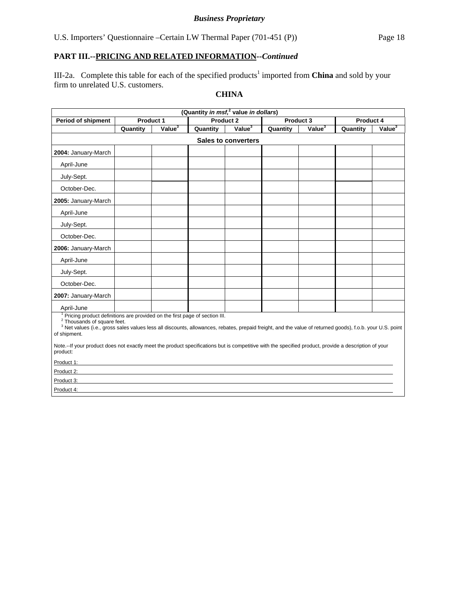# *Business Proprietary*

# **PART III.--PRICING AND RELATED INFORMATION***--Continued*

III-2a. Complete this table for each of the specified products<sup>1</sup> imported from **China** and sold by your firm to unrelated U.S. customers.

# **CHINA**

| (Quantity in msf, <sup>2</sup> value in dollars)                                                                                                                                                                                                                                                             |                                                  |                    |          |                    |          |                    |          |                    |  |  |  |
|--------------------------------------------------------------------------------------------------------------------------------------------------------------------------------------------------------------------------------------------------------------------------------------------------------------|--------------------------------------------------|--------------------|----------|--------------------|----------|--------------------|----------|--------------------|--|--|--|
| <b>Period of shipment</b>                                                                                                                                                                                                                                                                                    | Product 2<br>Product 1<br>Product 3<br>Product 4 |                    |          |                    |          |                    |          |                    |  |  |  |
|                                                                                                                                                                                                                                                                                                              | Quantity                                         | Value <sup>3</sup> | Quantity | Value <sup>3</sup> | Quantity | Value <sup>3</sup> | Quantity | Value <sup>3</sup> |  |  |  |
|                                                                                                                                                                                                                                                                                                              | <b>Sales to converters</b>                       |                    |          |                    |          |                    |          |                    |  |  |  |
| 2004: January-March                                                                                                                                                                                                                                                                                          |                                                  |                    |          |                    |          |                    |          |                    |  |  |  |
| April-June                                                                                                                                                                                                                                                                                                   |                                                  |                    |          |                    |          |                    |          |                    |  |  |  |
| July-Sept.                                                                                                                                                                                                                                                                                                   |                                                  |                    |          |                    |          |                    |          |                    |  |  |  |
| October-Dec.                                                                                                                                                                                                                                                                                                 |                                                  |                    |          |                    |          |                    |          |                    |  |  |  |
| 2005: January-March                                                                                                                                                                                                                                                                                          |                                                  |                    |          |                    |          |                    |          |                    |  |  |  |
| April-June                                                                                                                                                                                                                                                                                                   |                                                  |                    |          |                    |          |                    |          |                    |  |  |  |
| July-Sept.                                                                                                                                                                                                                                                                                                   |                                                  |                    |          |                    |          |                    |          |                    |  |  |  |
| October-Dec.                                                                                                                                                                                                                                                                                                 |                                                  |                    |          |                    |          |                    |          |                    |  |  |  |
| 2006: January-March                                                                                                                                                                                                                                                                                          |                                                  |                    |          |                    |          |                    |          |                    |  |  |  |
| April-June                                                                                                                                                                                                                                                                                                   |                                                  |                    |          |                    |          |                    |          |                    |  |  |  |
| July-Sept.                                                                                                                                                                                                                                                                                                   |                                                  |                    |          |                    |          |                    |          |                    |  |  |  |
| October-Dec.                                                                                                                                                                                                                                                                                                 |                                                  |                    |          |                    |          |                    |          |                    |  |  |  |
| 2007: January-March                                                                                                                                                                                                                                                                                          |                                                  |                    |          |                    |          |                    |          |                    |  |  |  |
| April-June                                                                                                                                                                                                                                                                                                   |                                                  |                    |          |                    |          |                    |          |                    |  |  |  |
| Pricing product definitions are provided on the first page of section III.<br><sup>2</sup> Thousands of square feet.<br><sup>3</sup> Net values (i.e., gross sales values less all discounts, allowances, rebates, prepaid freight, and the value of returned goods), f.o.b. your U.S. point<br>of shipment. |                                                  |                    |          |                    |          |                    |          |                    |  |  |  |
| Note.--If your product does not exactly meet the product specifications but is competitive with the specified product, provide a description of your<br>product:                                                                                                                                             |                                                  |                    |          |                    |          |                    |          |                    |  |  |  |
| Product 1:                                                                                                                                                                                                                                                                                                   |                                                  |                    |          |                    |          |                    |          |                    |  |  |  |
| Product 2:                                                                                                                                                                                                                                                                                                   |                                                  |                    |          |                    |          |                    |          |                    |  |  |  |
| Product 3:                                                                                                                                                                                                                                                                                                   |                                                  |                    |          |                    |          |                    |          |                    |  |  |  |
| Product 4:                                                                                                                                                                                                                                                                                                   |                                                  |                    |          |                    |          |                    |          |                    |  |  |  |
|                                                                                                                                                                                                                                                                                                              |                                                  |                    |          |                    |          |                    |          |                    |  |  |  |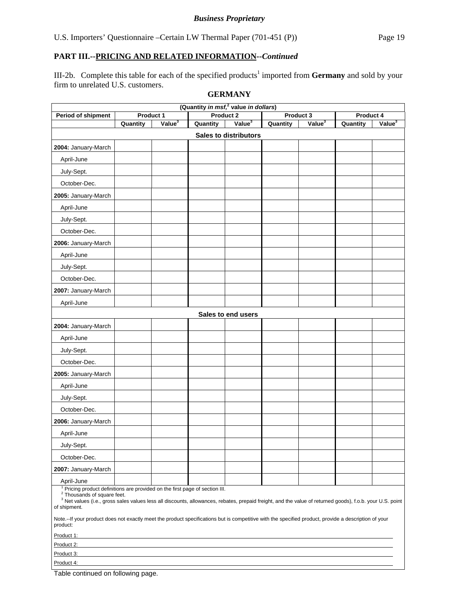III-2b. Complete this table for each of the specified products<sup>1</sup> imported from Germany and sold by your firm to unrelated U.S. customers.

#### **GERMANY**

| (Quantity in msf, <sup>2</sup> value in dollars)                                                                                                                                                                                                                                                             |            |                    |          |                              |           |                    |           |                    |  |
|--------------------------------------------------------------------------------------------------------------------------------------------------------------------------------------------------------------------------------------------------------------------------------------------------------------|------------|--------------------|----------|------------------------------|-----------|--------------------|-----------|--------------------|--|
| Period of shipment                                                                                                                                                                                                                                                                                           |            | <b>Product 1</b>   |          | Product 2                    | Product 3 |                    | Product 4 |                    |  |
|                                                                                                                                                                                                                                                                                                              | Quantity   | Value <sup>3</sup> | Quantity | Value <sup>3</sup>           | Quantity  | Value <sup>3</sup> | Quantity  | Value <sup>3</sup> |  |
|                                                                                                                                                                                                                                                                                                              |            |                    |          | <b>Sales to distributors</b> |           |                    |           |                    |  |
| 2004: January-March                                                                                                                                                                                                                                                                                          |            |                    |          |                              |           |                    |           |                    |  |
| April-June                                                                                                                                                                                                                                                                                                   |            |                    |          |                              |           |                    |           |                    |  |
| July-Sept.                                                                                                                                                                                                                                                                                                   |            |                    |          |                              |           |                    |           |                    |  |
| October-Dec.                                                                                                                                                                                                                                                                                                 |            |                    |          |                              |           |                    |           |                    |  |
| 2005: January-March                                                                                                                                                                                                                                                                                          |            |                    |          |                              |           |                    |           |                    |  |
| April-June                                                                                                                                                                                                                                                                                                   |            |                    |          |                              |           |                    |           |                    |  |
| July-Sept.                                                                                                                                                                                                                                                                                                   |            |                    |          |                              |           |                    |           |                    |  |
| October-Dec.                                                                                                                                                                                                                                                                                                 |            |                    |          |                              |           |                    |           |                    |  |
| 2006: January-March                                                                                                                                                                                                                                                                                          |            |                    |          |                              |           |                    |           |                    |  |
| April-June                                                                                                                                                                                                                                                                                                   |            |                    |          |                              |           |                    |           |                    |  |
| July-Sept.                                                                                                                                                                                                                                                                                                   |            |                    |          |                              |           |                    |           |                    |  |
| October-Dec.                                                                                                                                                                                                                                                                                                 |            |                    |          |                              |           |                    |           |                    |  |
| 2007: January-March                                                                                                                                                                                                                                                                                          |            |                    |          |                              |           |                    |           |                    |  |
| April-June                                                                                                                                                                                                                                                                                                   |            |                    |          |                              |           |                    |           |                    |  |
|                                                                                                                                                                                                                                                                                                              |            |                    |          | Sales to end users           |           |                    |           |                    |  |
| 2004: January-March                                                                                                                                                                                                                                                                                          |            |                    |          |                              |           |                    |           |                    |  |
| April-June                                                                                                                                                                                                                                                                                                   |            |                    |          |                              |           |                    |           |                    |  |
| July-Sept.                                                                                                                                                                                                                                                                                                   |            |                    |          |                              |           |                    |           |                    |  |
| October-Dec.                                                                                                                                                                                                                                                                                                 |            |                    |          |                              |           |                    |           |                    |  |
| 2005: January-March                                                                                                                                                                                                                                                                                          |            |                    |          |                              |           |                    |           |                    |  |
| April-June                                                                                                                                                                                                                                                                                                   |            |                    |          |                              |           |                    |           |                    |  |
| July-Sept.                                                                                                                                                                                                                                                                                                   |            |                    |          |                              |           |                    |           |                    |  |
| October-Dec.                                                                                                                                                                                                                                                                                                 |            |                    |          |                              |           |                    |           |                    |  |
| 2006: January-March                                                                                                                                                                                                                                                                                          |            |                    |          |                              |           |                    |           |                    |  |
| April-June                                                                                                                                                                                                                                                                                                   |            |                    |          |                              |           |                    |           |                    |  |
| July-Sept.                                                                                                                                                                                                                                                                                                   |            |                    |          |                              |           |                    |           |                    |  |
| October-Dec.                                                                                                                                                                                                                                                                                                 |            |                    |          |                              |           |                    |           |                    |  |
| 2007: January-March                                                                                                                                                                                                                                                                                          |            |                    |          |                              |           |                    |           |                    |  |
| April-June                                                                                                                                                                                                                                                                                                   |            |                    |          |                              |           |                    |           |                    |  |
| Pricing product definitions are provided on the first page of section III.<br><sup>2</sup> Thousands of square feet.<br><sup>3</sup> Net values (i.e., gross sales values less all discounts, allowances, rebates, prepaid freight, and the value of returned goods), f.o.b. your U.S. point<br>of shipment. |            |                    |          |                              |           |                    |           |                    |  |
| Note.--If your product does not exactly meet the product specifications but is competitive with the specified product, provide a description of your<br>product:                                                                                                                                             |            |                    |          |                              |           |                    |           |                    |  |
| Product 1:                                                                                                                                                                                                                                                                                                   |            |                    |          |                              |           |                    |           |                    |  |
| Product 2:                                                                                                                                                                                                                                                                                                   |            |                    |          |                              |           |                    |           |                    |  |
| Product 4:                                                                                                                                                                                                                                                                                                   | Product 3: |                    |          |                              |           |                    |           |                    |  |

Table continued on following page.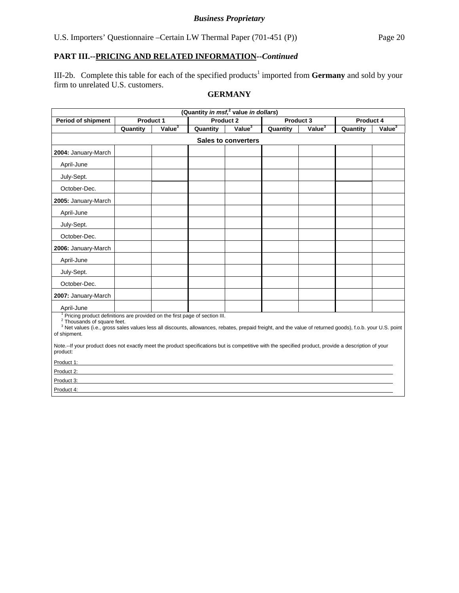# *Business Proprietary*

# **PART III.--PRICING AND RELATED INFORMATION***--Continued*

III-2b. Complete this table for each of the specified products<sup>1</sup> imported from **Germany** and sold by your firm to unrelated U.S. customers.

# **GERMANY**

| (Quantity in msf, <sup>2</sup> value in dollars)                                                                                                                                                                                                                                                             |                                                                                                                                                      |                    |           |                    |          |                    |           |                    |  |  |  |
|--------------------------------------------------------------------------------------------------------------------------------------------------------------------------------------------------------------------------------------------------------------------------------------------------------------|------------------------------------------------------------------------------------------------------------------------------------------------------|--------------------|-----------|--------------------|----------|--------------------|-----------|--------------------|--|--|--|
| <b>Period of shipment</b>                                                                                                                                                                                                                                                                                    | Product 1                                                                                                                                            |                    | Product 2 |                    |          | Product 3          | Product 4 |                    |  |  |  |
|                                                                                                                                                                                                                                                                                                              | Quantity                                                                                                                                             | Value <sup>3</sup> | Quantity  | Value <sup>3</sup> | Quantity | Value <sup>3</sup> | Quantity  | Value <sup>3</sup> |  |  |  |
|                                                                                                                                                                                                                                                                                                              | <b>Sales to converters</b>                                                                                                                           |                    |           |                    |          |                    |           |                    |  |  |  |
| 2004: January-March                                                                                                                                                                                                                                                                                          |                                                                                                                                                      |                    |           |                    |          |                    |           |                    |  |  |  |
| April-June                                                                                                                                                                                                                                                                                                   |                                                                                                                                                      |                    |           |                    |          |                    |           |                    |  |  |  |
| July-Sept.                                                                                                                                                                                                                                                                                                   |                                                                                                                                                      |                    |           |                    |          |                    |           |                    |  |  |  |
| October-Dec.                                                                                                                                                                                                                                                                                                 |                                                                                                                                                      |                    |           |                    |          |                    |           |                    |  |  |  |
| 2005: January-March                                                                                                                                                                                                                                                                                          |                                                                                                                                                      |                    |           |                    |          |                    |           |                    |  |  |  |
| April-June                                                                                                                                                                                                                                                                                                   |                                                                                                                                                      |                    |           |                    |          |                    |           |                    |  |  |  |
| July-Sept.                                                                                                                                                                                                                                                                                                   |                                                                                                                                                      |                    |           |                    |          |                    |           |                    |  |  |  |
| October-Dec.                                                                                                                                                                                                                                                                                                 |                                                                                                                                                      |                    |           |                    |          |                    |           |                    |  |  |  |
| 2006: January-March                                                                                                                                                                                                                                                                                          |                                                                                                                                                      |                    |           |                    |          |                    |           |                    |  |  |  |
| April-June                                                                                                                                                                                                                                                                                                   |                                                                                                                                                      |                    |           |                    |          |                    |           |                    |  |  |  |
| July-Sept.                                                                                                                                                                                                                                                                                                   |                                                                                                                                                      |                    |           |                    |          |                    |           |                    |  |  |  |
| October-Dec.                                                                                                                                                                                                                                                                                                 |                                                                                                                                                      |                    |           |                    |          |                    |           |                    |  |  |  |
| 2007: January-March                                                                                                                                                                                                                                                                                          |                                                                                                                                                      |                    |           |                    |          |                    |           |                    |  |  |  |
| April-June                                                                                                                                                                                                                                                                                                   |                                                                                                                                                      |                    |           |                    |          |                    |           |                    |  |  |  |
| Pricing product definitions are provided on the first page of section III.<br><sup>2</sup> Thousands of square feet.<br><sup>3</sup> Net values (i.e., gross sales values less all discounts, allowances, rebates, prepaid freight, and the value of returned goods), f.o.b. your U.S. point<br>of shipment. |                                                                                                                                                      |                    |           |                    |          |                    |           |                    |  |  |  |
| product:                                                                                                                                                                                                                                                                                                     | Note.--If your product does not exactly meet the product specifications but is competitive with the specified product, provide a description of your |                    |           |                    |          |                    |           |                    |  |  |  |
| Product 1:                                                                                                                                                                                                                                                                                                   |                                                                                                                                                      |                    |           |                    |          |                    |           |                    |  |  |  |
| Product 2:                                                                                                                                                                                                                                                                                                   |                                                                                                                                                      |                    |           |                    |          |                    |           |                    |  |  |  |
| Product 3:                                                                                                                                                                                                                                                                                                   |                                                                                                                                                      |                    |           |                    |          |                    |           |                    |  |  |  |
| Product 4:                                                                                                                                                                                                                                                                                                   |                                                                                                                                                      |                    |           |                    |          |                    |           |                    |  |  |  |
|                                                                                                                                                                                                                                                                                                              |                                                                                                                                                      |                    |           |                    |          |                    |           |                    |  |  |  |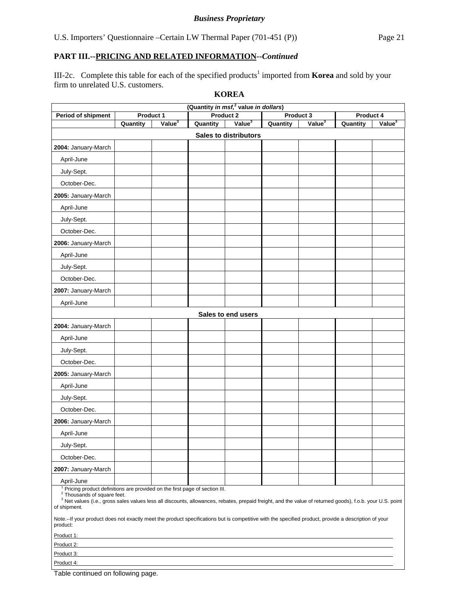III-2c. Complete this table for each of the specified products<sup>1</sup> imported from **Korea** and sold by your firm to unrelated U.S. customers.

|                                                                                                                                                                                                                                                                                                                                         | (Quantity in msf, <sup>2</sup> value in dollars) |                    |           |                              |           |                    |           |                    |  |
|-----------------------------------------------------------------------------------------------------------------------------------------------------------------------------------------------------------------------------------------------------------------------------------------------------------------------------------------|--------------------------------------------------|--------------------|-----------|------------------------------|-----------|--------------------|-----------|--------------------|--|
| Period of shipment                                                                                                                                                                                                                                                                                                                      | Product 1                                        |                    | Product 2 |                              | Product 3 |                    | Product 4 |                    |  |
|                                                                                                                                                                                                                                                                                                                                         | Quantity                                         | Value <sup>3</sup> | Quantity  | Value <sup>3</sup>           | Quantity  | Value <sup>3</sup> | Quantity  | Value <sup>3</sup> |  |
|                                                                                                                                                                                                                                                                                                                                         |                                                  |                    |           | <b>Sales to distributors</b> |           |                    |           |                    |  |
| 2004: January-March                                                                                                                                                                                                                                                                                                                     |                                                  |                    |           |                              |           |                    |           |                    |  |
| April-June                                                                                                                                                                                                                                                                                                                              |                                                  |                    |           |                              |           |                    |           |                    |  |
| July-Sept.                                                                                                                                                                                                                                                                                                                              |                                                  |                    |           |                              |           |                    |           |                    |  |
| October-Dec.                                                                                                                                                                                                                                                                                                                            |                                                  |                    |           |                              |           |                    |           |                    |  |
| 2005: January-March                                                                                                                                                                                                                                                                                                                     |                                                  |                    |           |                              |           |                    |           |                    |  |
| April-June                                                                                                                                                                                                                                                                                                                              |                                                  |                    |           |                              |           |                    |           |                    |  |
| July-Sept.                                                                                                                                                                                                                                                                                                                              |                                                  |                    |           |                              |           |                    |           |                    |  |
| October-Dec.                                                                                                                                                                                                                                                                                                                            |                                                  |                    |           |                              |           |                    |           |                    |  |
| 2006: January-March                                                                                                                                                                                                                                                                                                                     |                                                  |                    |           |                              |           |                    |           |                    |  |
| April-June                                                                                                                                                                                                                                                                                                                              |                                                  |                    |           |                              |           |                    |           |                    |  |
| July-Sept.                                                                                                                                                                                                                                                                                                                              |                                                  |                    |           |                              |           |                    |           |                    |  |
| October-Dec.                                                                                                                                                                                                                                                                                                                            |                                                  |                    |           |                              |           |                    |           |                    |  |
| 2007: January-March                                                                                                                                                                                                                                                                                                                     |                                                  |                    |           |                              |           |                    |           |                    |  |
| April-June                                                                                                                                                                                                                                                                                                                              |                                                  |                    |           |                              |           |                    |           |                    |  |
|                                                                                                                                                                                                                                                                                                                                         |                                                  |                    |           | Sales to end users           |           |                    |           |                    |  |
| 2004: January-March                                                                                                                                                                                                                                                                                                                     |                                                  |                    |           |                              |           |                    |           |                    |  |
| April-June                                                                                                                                                                                                                                                                                                                              |                                                  |                    |           |                              |           |                    |           |                    |  |
| July-Sept.                                                                                                                                                                                                                                                                                                                              |                                                  |                    |           |                              |           |                    |           |                    |  |
| October-Dec.                                                                                                                                                                                                                                                                                                                            |                                                  |                    |           |                              |           |                    |           |                    |  |
| 2005: January-March                                                                                                                                                                                                                                                                                                                     |                                                  |                    |           |                              |           |                    |           |                    |  |
| April-June                                                                                                                                                                                                                                                                                                                              |                                                  |                    |           |                              |           |                    |           |                    |  |
| July-Sept.                                                                                                                                                                                                                                                                                                                              |                                                  |                    |           |                              |           |                    |           |                    |  |
| October-Dec.                                                                                                                                                                                                                                                                                                                            |                                                  |                    |           |                              |           |                    |           |                    |  |
| 2006: January-March                                                                                                                                                                                                                                                                                                                     |                                                  |                    |           |                              |           |                    |           |                    |  |
| April-June                                                                                                                                                                                                                                                                                                                              |                                                  |                    |           |                              |           |                    |           |                    |  |
| July-Sept.                                                                                                                                                                                                                                                                                                                              |                                                  |                    |           |                              |           |                    |           |                    |  |
| October-Dec.                                                                                                                                                                                                                                                                                                                            |                                                  |                    |           |                              |           |                    |           |                    |  |
| 2007: January-March                                                                                                                                                                                                                                                                                                                     |                                                  |                    |           |                              |           |                    |           |                    |  |
|                                                                                                                                                                                                                                                                                                                                         |                                                  |                    |           |                              |           |                    |           |                    |  |
| April-June<br><sup>1</sup> Pricing product definitions are provided on the first page of section III.<br><sup>2</sup> Thousands of square feet.<br><sup>3</sup> Net values (i.e., gross sales values less all discounts, allowances, rebates, prepaid freight, and the value of returned goods), f.o.b. your U.S. point<br>of shipment. |                                                  |                    |           |                              |           |                    |           |                    |  |
| Note.--If your product does not exactly meet the product specifications but is competitive with the specified product, provide a description of your<br>product:                                                                                                                                                                        |                                                  |                    |           |                              |           |                    |           |                    |  |
| Product 1:                                                                                                                                                                                                                                                                                                                              |                                                  |                    |           |                              |           |                    |           |                    |  |
| Product 2:                                                                                                                                                                                                                                                                                                                              |                                                  |                    |           |                              |           |                    |           |                    |  |
|                                                                                                                                                                                                                                                                                                                                         | Product 3:                                       |                    |           |                              |           |                    |           |                    |  |
| Product 4:                                                                                                                                                                                                                                                                                                                              |                                                  |                    |           |                              |           |                    |           |                    |  |

**KOREA**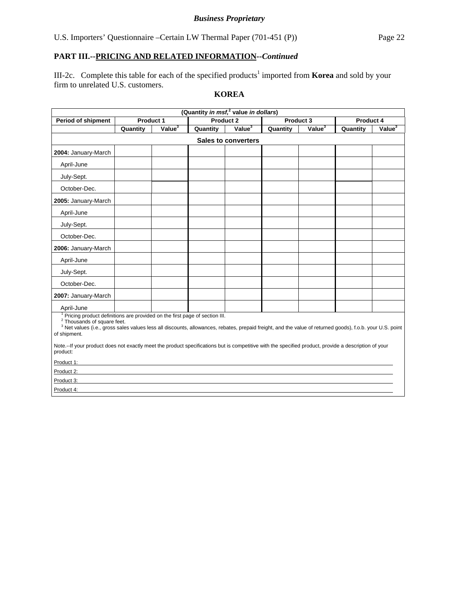# *Business Proprietary*

# **PART III.--PRICING AND RELATED INFORMATION***--Continued*

III-2c. Complete this table for each of the specified products<sup>1</sup> imported from **Korea** and sold by your firm to unrelated U.S. customers.

# **KOREA**

| (Quantity in msf, <sup>2</sup> value in dollars)                                                                                                                                                                                                                                                                          |                  |                    |                  |           |          |                    |           |           |  |
|---------------------------------------------------------------------------------------------------------------------------------------------------------------------------------------------------------------------------------------------------------------------------------------------------------------------------|------------------|--------------------|------------------|-----------|----------|--------------------|-----------|-----------|--|
| <b>Period of shipment</b>                                                                                                                                                                                                                                                                                                 | <b>Product 1</b> |                    | <b>Product 2</b> |           |          | Product 3          | Product 4 |           |  |
|                                                                                                                                                                                                                                                                                                                           | Quantity         | Value <sup>3</sup> | Quantity         | Value $3$ | Quantity | Value <sup>3</sup> | Quantity  | Value $3$ |  |
| <b>Sales to converters</b>                                                                                                                                                                                                                                                                                                |                  |                    |                  |           |          |                    |           |           |  |
| 2004: January-March                                                                                                                                                                                                                                                                                                       |                  |                    |                  |           |          |                    |           |           |  |
| April-June                                                                                                                                                                                                                                                                                                                |                  |                    |                  |           |          |                    |           |           |  |
| July-Sept.                                                                                                                                                                                                                                                                                                                |                  |                    |                  |           |          |                    |           |           |  |
| October-Dec.                                                                                                                                                                                                                                                                                                              |                  |                    |                  |           |          |                    |           |           |  |
| 2005: January-March                                                                                                                                                                                                                                                                                                       |                  |                    |                  |           |          |                    |           |           |  |
| April-June                                                                                                                                                                                                                                                                                                                |                  |                    |                  |           |          |                    |           |           |  |
| July-Sept.                                                                                                                                                                                                                                                                                                                |                  |                    |                  |           |          |                    |           |           |  |
| October-Dec.                                                                                                                                                                                                                                                                                                              |                  |                    |                  |           |          |                    |           |           |  |
| 2006: January-March                                                                                                                                                                                                                                                                                                       |                  |                    |                  |           |          |                    |           |           |  |
| April-June                                                                                                                                                                                                                                                                                                                |                  |                    |                  |           |          |                    |           |           |  |
| July-Sept.                                                                                                                                                                                                                                                                                                                |                  |                    |                  |           |          |                    |           |           |  |
| October-Dec.                                                                                                                                                                                                                                                                                                              |                  |                    |                  |           |          |                    |           |           |  |
| 2007: January-March                                                                                                                                                                                                                                                                                                       |                  |                    |                  |           |          |                    |           |           |  |
| April-June                                                                                                                                                                                                                                                                                                                |                  |                    |                  |           |          |                    |           |           |  |
| <sup>1</sup> Pricing product definitions are provided on the first page of section III.<br><sup>2</sup> Thousands of square feet.<br><sup>3</sup> Net values (i.e., gross sales values less all discounts, allowances, rebates, prepaid freight, and the value of returned goods), f.o.b. your U.S. point<br>of shipment. |                  |                    |                  |           |          |                    |           |           |  |
| Note.--If your product does not exactly meet the product specifications but is competitive with the specified product, provide a description of your<br>product:                                                                                                                                                          |                  |                    |                  |           |          |                    |           |           |  |
| Product 1:                                                                                                                                                                                                                                                                                                                |                  |                    |                  |           |          |                    |           |           |  |
| Product 2:                                                                                                                                                                                                                                                                                                                |                  |                    |                  |           |          |                    |           |           |  |
| Product 3:                                                                                                                                                                                                                                                                                                                |                  |                    |                  |           |          |                    |           |           |  |
| Product 4:                                                                                                                                                                                                                                                                                                                |                  |                    |                  |           |          |                    |           |           |  |
|                                                                                                                                                                                                                                                                                                                           |                  |                    |                  |           |          |                    |           |           |  |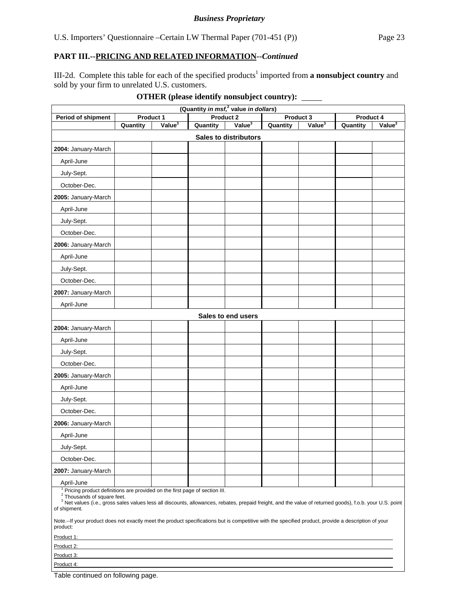III-2d. Complete this table for each of the specified products<sup>1</sup> imported from **a nonsubject country** and sold by your firm to unrelated U.S. customers.

| (Quantity in msf, <sup>2</sup> value in dollars)                                                                                                                                                                                                                                                             |           |                    |           |                              |           |                    |          |                    |  |
|--------------------------------------------------------------------------------------------------------------------------------------------------------------------------------------------------------------------------------------------------------------------------------------------------------------|-----------|--------------------|-----------|------------------------------|-----------|--------------------|----------|--------------------|--|
| Period of shipment                                                                                                                                                                                                                                                                                           | Product 1 |                    | Product 2 |                              | Product 3 |                    |          | Product 4          |  |
|                                                                                                                                                                                                                                                                                                              | Quantity  | Value <sup>3</sup> | Quantity  | Value <sup>3</sup>           | Quantity  | Value <sup>3</sup> | Quantity | Value <sup>3</sup> |  |
|                                                                                                                                                                                                                                                                                                              |           |                    |           | <b>Sales to distributors</b> |           |                    |          |                    |  |
| 2004: January-March                                                                                                                                                                                                                                                                                          |           |                    |           |                              |           |                    |          |                    |  |
| April-June                                                                                                                                                                                                                                                                                                   |           |                    |           |                              |           |                    |          |                    |  |
| July-Sept.                                                                                                                                                                                                                                                                                                   |           |                    |           |                              |           |                    |          |                    |  |
| October-Dec.                                                                                                                                                                                                                                                                                                 |           |                    |           |                              |           |                    |          |                    |  |
| 2005: January-March                                                                                                                                                                                                                                                                                          |           |                    |           |                              |           |                    |          |                    |  |
| April-June                                                                                                                                                                                                                                                                                                   |           |                    |           |                              |           |                    |          |                    |  |
| July-Sept.                                                                                                                                                                                                                                                                                                   |           |                    |           |                              |           |                    |          |                    |  |
| October-Dec.                                                                                                                                                                                                                                                                                                 |           |                    |           |                              |           |                    |          |                    |  |
| 2006: January-March                                                                                                                                                                                                                                                                                          |           |                    |           |                              |           |                    |          |                    |  |
| April-June                                                                                                                                                                                                                                                                                                   |           |                    |           |                              |           |                    |          |                    |  |
| July-Sept.                                                                                                                                                                                                                                                                                                   |           |                    |           |                              |           |                    |          |                    |  |
| October-Dec.                                                                                                                                                                                                                                                                                                 |           |                    |           |                              |           |                    |          |                    |  |
| 2007: January-March                                                                                                                                                                                                                                                                                          |           |                    |           |                              |           |                    |          |                    |  |
| April-June                                                                                                                                                                                                                                                                                                   |           |                    |           |                              |           |                    |          |                    |  |
|                                                                                                                                                                                                                                                                                                              |           |                    |           | Sales to end users           |           |                    |          |                    |  |
| 2004: January-March                                                                                                                                                                                                                                                                                          |           |                    |           |                              |           |                    |          |                    |  |
| April-June                                                                                                                                                                                                                                                                                                   |           |                    |           |                              |           |                    |          |                    |  |
| July-Sept.                                                                                                                                                                                                                                                                                                   |           |                    |           |                              |           |                    |          |                    |  |
| October-Dec.                                                                                                                                                                                                                                                                                                 |           |                    |           |                              |           |                    |          |                    |  |
| 2005: January-March                                                                                                                                                                                                                                                                                          |           |                    |           |                              |           |                    |          |                    |  |
| April-June                                                                                                                                                                                                                                                                                                   |           |                    |           |                              |           |                    |          |                    |  |
| July-Sept.                                                                                                                                                                                                                                                                                                   |           |                    |           |                              |           |                    |          |                    |  |
| October-Dec.                                                                                                                                                                                                                                                                                                 |           |                    |           |                              |           |                    |          |                    |  |
| 2006: January-March                                                                                                                                                                                                                                                                                          |           |                    |           |                              |           |                    |          |                    |  |
| April-June                                                                                                                                                                                                                                                                                                   |           |                    |           |                              |           |                    |          |                    |  |
| July-Sept.                                                                                                                                                                                                                                                                                                   |           |                    |           |                              |           |                    |          |                    |  |
| October-Dec.                                                                                                                                                                                                                                                                                                 |           |                    |           |                              |           |                    |          |                    |  |
| 2007: January-March                                                                                                                                                                                                                                                                                          |           |                    |           |                              |           |                    |          |                    |  |
| April-June                                                                                                                                                                                                                                                                                                   |           |                    |           |                              |           |                    |          |                    |  |
| Pricing product definitions are provided on the first page of section III.<br><sup>2</sup> Thousands of square feet.<br><sup>3</sup> Net values (i.e., gross sales values less all discounts, allowances, rebates, prepaid freight, and the value of returned goods), f.o.b. your U.S. point<br>of shipment. |           |                    |           |                              |           |                    |          |                    |  |
| Note.--If your product does not exactly meet the product specifications but is competitive with the specified product, provide a description of your<br>product:                                                                                                                                             |           |                    |           |                              |           |                    |          |                    |  |
| Product 1:                                                                                                                                                                                                                                                                                                   |           |                    |           |                              |           |                    |          |                    |  |
| Product 2:                                                                                                                                                                                                                                                                                                   |           |                    |           |                              |           |                    |          |                    |  |
| Product 3:                                                                                                                                                                                                                                                                                                   |           |                    |           |                              |           |                    |          |                    |  |

# **OTHER (please identify nonsubject country):**

Table continued on following page.

Product 4: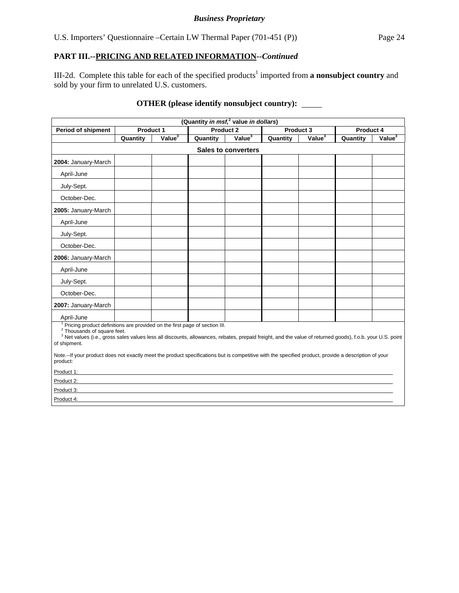#### *Business Proprietary*

# **PART III.--PRICING AND RELATED INFORMATION***--Continued*

III-2d. Complete this table for each of the specified products<sup>1</sup> imported from **a nonsubject country** and sold by your firm to unrelated U.S. customers.

# **OTHER (please identify nonsubject country):**

| (Quantity in msf, <sup>2</sup> value in dollars)                                                                                                                                                                                                                                                             |                  |                    |          |           |          |                    |           |                    |  |
|--------------------------------------------------------------------------------------------------------------------------------------------------------------------------------------------------------------------------------------------------------------------------------------------------------------|------------------|--------------------|----------|-----------|----------|--------------------|-----------|--------------------|--|
| <b>Period of shipment</b>                                                                                                                                                                                                                                                                                    | <b>Product 1</b> |                    |          | Product 2 |          | Product 3          | Product 4 |                    |  |
|                                                                                                                                                                                                                                                                                                              | Quantity         | Value <sup>3</sup> | Quantity | Value $3$ | Quantity | Value <sup>3</sup> | Quantity  | Value <sup>3</sup> |  |
| <b>Sales to converters</b>                                                                                                                                                                                                                                                                                   |                  |                    |          |           |          |                    |           |                    |  |
| 2004: January-March                                                                                                                                                                                                                                                                                          |                  |                    |          |           |          |                    |           |                    |  |
| April-June                                                                                                                                                                                                                                                                                                   |                  |                    |          |           |          |                    |           |                    |  |
| July-Sept.                                                                                                                                                                                                                                                                                                   |                  |                    |          |           |          |                    |           |                    |  |
| October-Dec.                                                                                                                                                                                                                                                                                                 |                  |                    |          |           |          |                    |           |                    |  |
| 2005: January-March                                                                                                                                                                                                                                                                                          |                  |                    |          |           |          |                    |           |                    |  |
| April-June                                                                                                                                                                                                                                                                                                   |                  |                    |          |           |          |                    |           |                    |  |
| July-Sept.                                                                                                                                                                                                                                                                                                   |                  |                    |          |           |          |                    |           |                    |  |
| October-Dec.                                                                                                                                                                                                                                                                                                 |                  |                    |          |           |          |                    |           |                    |  |
| 2006: January-March                                                                                                                                                                                                                                                                                          |                  |                    |          |           |          |                    |           |                    |  |
| April-June                                                                                                                                                                                                                                                                                                   |                  |                    |          |           |          |                    |           |                    |  |
| July-Sept.                                                                                                                                                                                                                                                                                                   |                  |                    |          |           |          |                    |           |                    |  |
| October-Dec.                                                                                                                                                                                                                                                                                                 |                  |                    |          |           |          |                    |           |                    |  |
| 2007: January-March                                                                                                                                                                                                                                                                                          |                  |                    |          |           |          |                    |           |                    |  |
| April-June                                                                                                                                                                                                                                                                                                   |                  |                    |          |           |          |                    |           |                    |  |
| Pricing product definitions are provided on the first page of section III.<br><sup>2</sup> Thousands of square feet.<br><sup>3</sup> Net values (i.e., gross sales values less all discounts, allowances, rebates, prepaid freight, and the value of returned goods), f.o.b. your U.S. point<br>of shipment. |                  |                    |          |           |          |                    |           |                    |  |
| Note.--If your product does not exactly meet the product specifications but is competitive with the specified product, provide a description of your<br>product:                                                                                                                                             |                  |                    |          |           |          |                    |           |                    |  |
| Product 1:                                                                                                                                                                                                                                                                                                   |                  |                    |          |           |          |                    |           |                    |  |
| Product 2:                                                                                                                                                                                                                                                                                                   |                  |                    |          |           |          |                    |           |                    |  |
| Product 3:                                                                                                                                                                                                                                                                                                   |                  |                    |          |           |          |                    |           |                    |  |
| Product 4:                                                                                                                                                                                                                                                                                                   |                  |                    |          |           |          |                    |           |                    |  |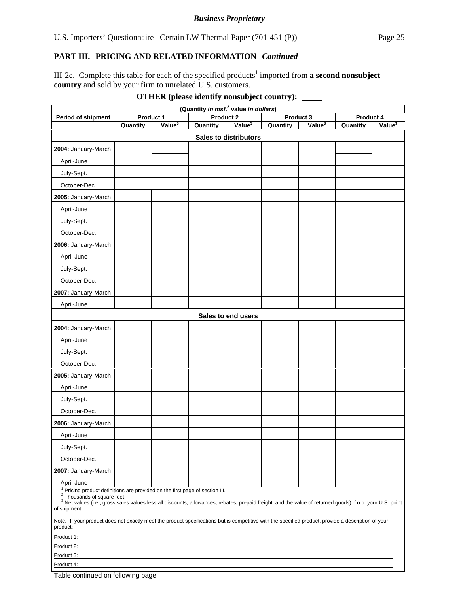III-2e. Complete this table for each of the specified products<sup>1</sup> imported from a second nonsubject **country** and sold by your firm to unrelated U.S. customers.

| (Quantity in msf, <sup>2</sup> value in dollars)                                                                                                                                                                                                                                                             |          |                    |          |                              |          |                    |           |                    |
|--------------------------------------------------------------------------------------------------------------------------------------------------------------------------------------------------------------------------------------------------------------------------------------------------------------|----------|--------------------|----------|------------------------------|----------|--------------------|-----------|--------------------|
| Period of shipment                                                                                                                                                                                                                                                                                           |          | Product 1          |          | Product <sub>2</sub>         |          | Product 3          | Product 4 |                    |
|                                                                                                                                                                                                                                                                                                              | Quantity | Value <sup>3</sup> | Quantity | Value <sup>3</sup>           | Quantity | Value <sup>3</sup> | Quantity  | Value <sup>3</sup> |
|                                                                                                                                                                                                                                                                                                              |          |                    |          | <b>Sales to distributors</b> |          |                    |           |                    |
| 2004: January-March                                                                                                                                                                                                                                                                                          |          |                    |          |                              |          |                    |           |                    |
| April-June                                                                                                                                                                                                                                                                                                   |          |                    |          |                              |          |                    |           |                    |
| July-Sept.                                                                                                                                                                                                                                                                                                   |          |                    |          |                              |          |                    |           |                    |
| October-Dec.                                                                                                                                                                                                                                                                                                 |          |                    |          |                              |          |                    |           |                    |
| 2005: January-March                                                                                                                                                                                                                                                                                          |          |                    |          |                              |          |                    |           |                    |
| April-June                                                                                                                                                                                                                                                                                                   |          |                    |          |                              |          |                    |           |                    |
| July-Sept.                                                                                                                                                                                                                                                                                                   |          |                    |          |                              |          |                    |           |                    |
| October-Dec.                                                                                                                                                                                                                                                                                                 |          |                    |          |                              |          |                    |           |                    |
| 2006: January-March                                                                                                                                                                                                                                                                                          |          |                    |          |                              |          |                    |           |                    |
| April-June                                                                                                                                                                                                                                                                                                   |          |                    |          |                              |          |                    |           |                    |
| July-Sept.                                                                                                                                                                                                                                                                                                   |          |                    |          |                              |          |                    |           |                    |
| October-Dec.                                                                                                                                                                                                                                                                                                 |          |                    |          |                              |          |                    |           |                    |
| 2007: January-March                                                                                                                                                                                                                                                                                          |          |                    |          |                              |          |                    |           |                    |
| April-June                                                                                                                                                                                                                                                                                                   |          |                    |          |                              |          |                    |           |                    |
|                                                                                                                                                                                                                                                                                                              |          |                    |          | Sales to end users           |          |                    |           |                    |
| 2004: January-March                                                                                                                                                                                                                                                                                          |          |                    |          |                              |          |                    |           |                    |
| April-June                                                                                                                                                                                                                                                                                                   |          |                    |          |                              |          |                    |           |                    |
| July-Sept.                                                                                                                                                                                                                                                                                                   |          |                    |          |                              |          |                    |           |                    |
| October-Dec.                                                                                                                                                                                                                                                                                                 |          |                    |          |                              |          |                    |           |                    |
| 2005: January-March                                                                                                                                                                                                                                                                                          |          |                    |          |                              |          |                    |           |                    |
| April-June                                                                                                                                                                                                                                                                                                   |          |                    |          |                              |          |                    |           |                    |
| July-Sept.                                                                                                                                                                                                                                                                                                   |          |                    |          |                              |          |                    |           |                    |
| October-Dec.                                                                                                                                                                                                                                                                                                 |          |                    |          |                              |          |                    |           |                    |
| 2006: January-March                                                                                                                                                                                                                                                                                          |          |                    |          |                              |          |                    |           |                    |
| April-June                                                                                                                                                                                                                                                                                                   |          |                    |          |                              |          |                    |           |                    |
| July-Sept.                                                                                                                                                                                                                                                                                                   |          |                    |          |                              |          |                    |           |                    |
| October-Dec.                                                                                                                                                                                                                                                                                                 |          |                    |          |                              |          |                    |           |                    |
| 2007: January-March                                                                                                                                                                                                                                                                                          |          |                    |          |                              |          |                    |           |                    |
| April-June                                                                                                                                                                                                                                                                                                   |          |                    |          |                              |          |                    |           |                    |
| Pricing product definitions are provided on the first page of section III.<br><sup>2</sup> Thousands of square feet.<br><sup>3</sup> Net values (i.e., gross sales values less all discounts, allowances, rebates, prepaid freight, and the value of returned goods), f.o.b. your U.S. point<br>of shipment. |          |                    |          |                              |          |                    |           |                    |
| Note.--If your product does not exactly meet the product specifications but is competitive with the specified product, provide a description of your<br>product:                                                                                                                                             |          |                    |          |                              |          |                    |           |                    |
| Product 1:                                                                                                                                                                                                                                                                                                   |          |                    |          |                              |          |                    |           |                    |
| Product 2:                                                                                                                                                                                                                                                                                                   |          |                    |          |                              |          |                    |           |                    |
| Product 3:                                                                                                                                                                                                                                                                                                   |          |                    |          |                              |          |                    |           |                    |
| Product 4:                                                                                                                                                                                                                                                                                                   |          |                    |          |                              |          |                    |           |                    |

Table continued on following page.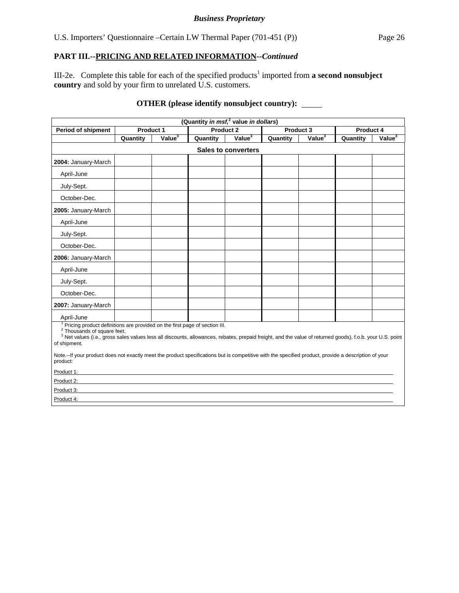#### *Business Proprietary*

# **PART III.--PRICING AND RELATED INFORMATION***--Continued*

III-2e. Complete this table for each of the specified products<sup>1</sup> imported from **a second nonsubject country** and sold by your firm to unrelated U.S. customers.

# **OTHER (please identify nonsubject country):**

| (Quantity in msf, <sup>2</sup> value in dollars)                                                                                                                                                                                                                                                                                                                                                                                                                                  |                            |                    |          |                    |           |                    |           |                    |  |  |
|-----------------------------------------------------------------------------------------------------------------------------------------------------------------------------------------------------------------------------------------------------------------------------------------------------------------------------------------------------------------------------------------------------------------------------------------------------------------------------------|----------------------------|--------------------|----------|--------------------|-----------|--------------------|-----------|--------------------|--|--|
| <b>Period of shipment</b>                                                                                                                                                                                                                                                                                                                                                                                                                                                         | <b>Product 1</b>           |                    |          | Product 2          | Product 3 |                    | Product 4 |                    |  |  |
|                                                                                                                                                                                                                                                                                                                                                                                                                                                                                   | Quantity                   | Value <sup>3</sup> | Quantity | Value <sup>3</sup> | Quantity  | Value <sup>3</sup> | Quantity  | Value <sup>3</sup> |  |  |
|                                                                                                                                                                                                                                                                                                                                                                                                                                                                                   | <b>Sales to converters</b> |                    |          |                    |           |                    |           |                    |  |  |
| 2004: January-March                                                                                                                                                                                                                                                                                                                                                                                                                                                               |                            |                    |          |                    |           |                    |           |                    |  |  |
| April-June                                                                                                                                                                                                                                                                                                                                                                                                                                                                        |                            |                    |          |                    |           |                    |           |                    |  |  |
| July-Sept.                                                                                                                                                                                                                                                                                                                                                                                                                                                                        |                            |                    |          |                    |           |                    |           |                    |  |  |
| October-Dec.                                                                                                                                                                                                                                                                                                                                                                                                                                                                      |                            |                    |          |                    |           |                    |           |                    |  |  |
| 2005: January-March                                                                                                                                                                                                                                                                                                                                                                                                                                                               |                            |                    |          |                    |           |                    |           |                    |  |  |
| April-June                                                                                                                                                                                                                                                                                                                                                                                                                                                                        |                            |                    |          |                    |           |                    |           |                    |  |  |
| July-Sept.                                                                                                                                                                                                                                                                                                                                                                                                                                                                        |                            |                    |          |                    |           |                    |           |                    |  |  |
| October-Dec.                                                                                                                                                                                                                                                                                                                                                                                                                                                                      |                            |                    |          |                    |           |                    |           |                    |  |  |
| 2006: January-March                                                                                                                                                                                                                                                                                                                                                                                                                                                               |                            |                    |          |                    |           |                    |           |                    |  |  |
| April-June                                                                                                                                                                                                                                                                                                                                                                                                                                                                        |                            |                    |          |                    |           |                    |           |                    |  |  |
| July-Sept.                                                                                                                                                                                                                                                                                                                                                                                                                                                                        |                            |                    |          |                    |           |                    |           |                    |  |  |
| October-Dec.                                                                                                                                                                                                                                                                                                                                                                                                                                                                      |                            |                    |          |                    |           |                    |           |                    |  |  |
| 2007: January-March                                                                                                                                                                                                                                                                                                                                                                                                                                                               |                            |                    |          |                    |           |                    |           |                    |  |  |
| April-June                                                                                                                                                                                                                                                                                                                                                                                                                                                                        |                            |                    |          |                    |           |                    |           |                    |  |  |
| <sup>1</sup> Pricing product definitions are provided on the first page of section III.<br><sup>2</sup> Thousands of square feet.<br><sup>3</sup> Net values (i.e., gross sales values less all discounts, allowances, rebates, prepaid freight, and the value of returned goods), f.o.b. your U.S. point<br>of shipment.<br>Note.--If your product does not exactly meet the product specifications but is competitive with the specified product, provide a description of your |                            |                    |          |                    |           |                    |           |                    |  |  |
| product:                                                                                                                                                                                                                                                                                                                                                                                                                                                                          |                            |                    |          |                    |           |                    |           |                    |  |  |
| Product 1:                                                                                                                                                                                                                                                                                                                                                                                                                                                                        |                            |                    |          |                    |           |                    |           |                    |  |  |
| Product 2:                                                                                                                                                                                                                                                                                                                                                                                                                                                                        |                            |                    |          |                    |           |                    |           |                    |  |  |
| Product 3:                                                                                                                                                                                                                                                                                                                                                                                                                                                                        |                            |                    |          |                    |           |                    |           |                    |  |  |
| Product 4:                                                                                                                                                                                                                                                                                                                                                                                                                                                                        |                            |                    |          |                    |           |                    |           |                    |  |  |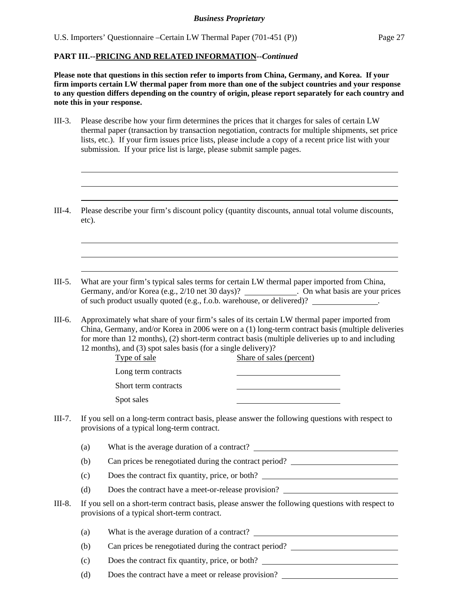l  $\overline{a}$  $\overline{a}$ 

 $\overline{a}$  $\overline{a}$  $\overline{a}$ 

**Please note that questions in this section refer to imports from China, Germany, and Korea. If your firm imports certain LW thermal paper from more than one of the subject countries and your response to any question differs depending on the country of origin, please report separately for each country and note this in your response.** 

- III-3. Please describe how your firm determines the prices that it charges for sales of certain LW thermal paper (transaction by transaction negotiation, contracts for multiple shipments, set price lists, etc.). If your firm issues price lists, please include a copy of a recent price list with your submission. If your price list is large, please submit sample pages.
- III-4. Please describe your firm's discount policy (quantity discounts, annual total volume discounts, etc).
- III-5. What are your firm's typical sales terms for certain LW thermal paper imported from China, Germany, and/or Korea (e.g., 2/10 net 30 days)? \_\_\_\_\_\_\_\_\_\_\_\_. On what basis are your prices of such product usually quoted (e.g., f.o.b. warehouse, or delivered)? .
- III-6. Approximately what share of your firm's sales of its certain LW thermal paper imported from China, Germany, and/or Korea in 2006 were on a (1) long-term contract basis (multiple deliveries for more than 12 months), (2) short-term contract basis (multiple deliveries up to and including 12 months), and (3) spot sales basis (for a single delivery)?

| Type of sale         | Share of sales (percent) |
|----------------------|--------------------------|
| Long term contracts  |                          |
| Short term contracts |                          |
| Spot sales           |                          |

- III-7. If you sell on a long-term contract basis, please answer the following questions with respect to provisions of a typical long-term contract.
	- (a) What is the average duration of a contract?
	- (b) Can prices be renegotiated during the contract period?
	- (c) Does the contract fix quantity, price, or both?
	- (d) Does the contract have a meet-or-release provision?
- III-8. If you sell on a short-term contract basis, please answer the following questions with respect to provisions of a typical short-term contract.
	- (a) What is the average duration of a contract?
	- (b) Can prices be renegotiated during the contract period?
	- (c) Does the contract fix quantity, price, or both?
	- (d) Does the contract have a meet or release provision?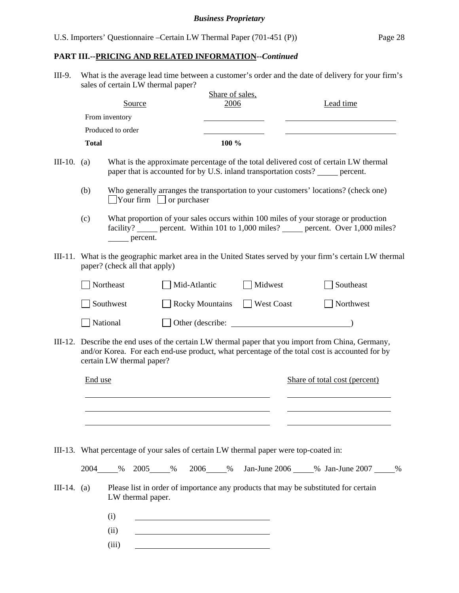III-9. What is the average lead time between a customer's order and the date of delivery for your firm's sales of certain LW thermal paper?

|                                                                                                                                              |              |                           |          |  |                                      | Share of sales, |  |            |                               |                                                                                       |                                                                                                                                                                                             |  |
|----------------------------------------------------------------------------------------------------------------------------------------------|--------------|---------------------------|----------|--|--------------------------------------|-----------------|--|------------|-------------------------------|---------------------------------------------------------------------------------------|---------------------------------------------------------------------------------------------------------------------------------------------------------------------------------------------|--|
|                                                                                                                                              |              |                           | Source   |  |                                      | 2006            |  |            |                               | Lead time                                                                             |                                                                                                                                                                                             |  |
|                                                                                                                                              |              | From inventory            |          |  |                                      |                 |  |            |                               |                                                                                       |                                                                                                                                                                                             |  |
|                                                                                                                                              |              | Produced to order         |          |  |                                      |                 |  |            |                               |                                                                                       |                                                                                                                                                                                             |  |
|                                                                                                                                              | <b>Total</b> |                           |          |  |                                      | 100 %           |  |            |                               |                                                                                       |                                                                                                                                                                                             |  |
| III-10.                                                                                                                                      | (a)          |                           |          |  |                                      |                 |  |            |                               | paper that is accounted for by U.S. inland transportation costs? ______ percent.      | What is the approximate percentage of the total delivered cost of certain LW thermal                                                                                                        |  |
|                                                                                                                                              | (b)          |                           |          |  | $\Box$ Your firm $\Box$ or purchaser |                 |  |            |                               | Who generally arranges the transportation to your customers' locations? (check one)   |                                                                                                                                                                                             |  |
|                                                                                                                                              | (c)          |                           | percent. |  |                                      |                 |  |            |                               | What proportion of your sales occurs within 100 miles of your storage or production   | facility? ______ percent. Within 101 to 1,000 miles? ______ percent. Over 1,000 miles?                                                                                                      |  |
| What is the geographic market area in the United States served by your firm's certain LW thermal<br>III-11.<br>paper? (check all that apply) |              |                           |          |  |                                      |                 |  |            |                               |                                                                                       |                                                                                                                                                                                             |  |
| Northeast                                                                                                                                    |              |                           |          |  | Mid-Atlantic                         |                 |  | Midwest    | Southeast                     |                                                                                       |                                                                                                                                                                                             |  |
| Southwest                                                                                                                                    |              |                           |          |  | <b>Rocky Mountains</b>               |                 |  | West Coast |                               |                                                                                       | Northwest                                                                                                                                                                                   |  |
|                                                                                                                                              |              | National                  |          |  |                                      |                 |  |            |                               |                                                                                       |                                                                                                                                                                                             |  |
| III-12.                                                                                                                                      |              | certain LW thermal paper? |          |  |                                      |                 |  |            |                               |                                                                                       | Describe the end uses of the certain LW thermal paper that you import from China, Germany,<br>and/or Korea. For each end-use product, what percentage of the total cost is accounted for by |  |
|                                                                                                                                              | End use      |                           |          |  |                                      |                 |  |            | Share of total cost (percent) |                                                                                       |                                                                                                                                                                                             |  |
|                                                                                                                                              |              |                           |          |  |                                      |                 |  |            |                               |                                                                                       |                                                                                                                                                                                             |  |
|                                                                                                                                              |              |                           |          |  |                                      |                 |  |            |                               |                                                                                       |                                                                                                                                                                                             |  |
|                                                                                                                                              |              |                           |          |  |                                      |                 |  |            |                               | III-13. What percentage of your sales of certain LW thermal paper were top-coated in: |                                                                                                                                                                                             |  |
|                                                                                                                                              |              |                           |          |  |                                      |                 |  |            |                               |                                                                                       | 2004_____% 2005_____% 2006_____% Jan-June 2006_____% Jan-June 2007_____%                                                                                                                    |  |
| $III-14. (a)$                                                                                                                                |              | LW thermal paper.         |          |  |                                      |                 |  |            |                               | Please list in order of importance any products that may be substituted for certain   |                                                                                                                                                                                             |  |
|                                                                                                                                              |              | (i)                       |          |  |                                      |                 |  |            |                               |                                                                                       |                                                                                                                                                                                             |  |
|                                                                                                                                              |              | (ii)                      |          |  |                                      |                 |  |            |                               |                                                                                       |                                                                                                                                                                                             |  |
|                                                                                                                                              |              | (iii)                     |          |  |                                      |                 |  |            |                               |                                                                                       |                                                                                                                                                                                             |  |
|                                                                                                                                              |              |                           |          |  |                                      |                 |  |            |                               |                                                                                       |                                                                                                                                                                                             |  |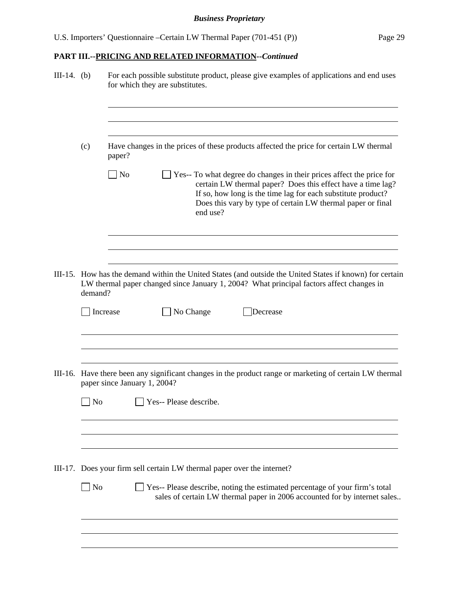| Have changes in the prices of these products affected the price for certain LW thermal<br>(c)<br>paper?<br>$\Box$ No<br>Yes-- To what degree do changes in their prices affect the price for<br>certain LW thermal paper? Does this effect have a time lag?<br>If so, how long is the time lag for each substitute product?<br>Does this vary by type of certain LW thermal paper or final<br>end use?<br>III-15. How has the demand within the United States (and outside the United States if known) for certain<br>LW thermal paper changed since January 1, 2004? What principal factors affect changes in<br>demand?<br>No Change<br>Increase<br>Decrease<br>III-16. Have there been any significant changes in the product range or marketing of certain LW thermal<br>paper since January 1, 2004?<br>Yes-- Please describe.<br>No<br>III-17. Does your firm sell certain LW thermal paper over the internet?<br>  No<br>Yes-- Please describe, noting the estimated percentage of your firm's total<br>sales of certain LW thermal paper in 2006 accounted for by internet sales | $III-14.$ (b) |  | For each possible substitute product, please give examples of applications and end uses<br>for which they are substitutes. |  |  |  |  |  |  |  |  |  |
|------------------------------------------------------------------------------------------------------------------------------------------------------------------------------------------------------------------------------------------------------------------------------------------------------------------------------------------------------------------------------------------------------------------------------------------------------------------------------------------------------------------------------------------------------------------------------------------------------------------------------------------------------------------------------------------------------------------------------------------------------------------------------------------------------------------------------------------------------------------------------------------------------------------------------------------------------------------------------------------------------------------------------------------------------------------------------------------|---------------|--|----------------------------------------------------------------------------------------------------------------------------|--|--|--|--|--|--|--|--|--|
|                                                                                                                                                                                                                                                                                                                                                                                                                                                                                                                                                                                                                                                                                                                                                                                                                                                                                                                                                                                                                                                                                          |               |  |                                                                                                                            |  |  |  |  |  |  |  |  |  |
|                                                                                                                                                                                                                                                                                                                                                                                                                                                                                                                                                                                                                                                                                                                                                                                                                                                                                                                                                                                                                                                                                          |               |  |                                                                                                                            |  |  |  |  |  |  |  |  |  |
|                                                                                                                                                                                                                                                                                                                                                                                                                                                                                                                                                                                                                                                                                                                                                                                                                                                                                                                                                                                                                                                                                          |               |  |                                                                                                                            |  |  |  |  |  |  |  |  |  |
|                                                                                                                                                                                                                                                                                                                                                                                                                                                                                                                                                                                                                                                                                                                                                                                                                                                                                                                                                                                                                                                                                          |               |  |                                                                                                                            |  |  |  |  |  |  |  |  |  |
|                                                                                                                                                                                                                                                                                                                                                                                                                                                                                                                                                                                                                                                                                                                                                                                                                                                                                                                                                                                                                                                                                          |               |  |                                                                                                                            |  |  |  |  |  |  |  |  |  |
|                                                                                                                                                                                                                                                                                                                                                                                                                                                                                                                                                                                                                                                                                                                                                                                                                                                                                                                                                                                                                                                                                          |               |  |                                                                                                                            |  |  |  |  |  |  |  |  |  |
|                                                                                                                                                                                                                                                                                                                                                                                                                                                                                                                                                                                                                                                                                                                                                                                                                                                                                                                                                                                                                                                                                          |               |  |                                                                                                                            |  |  |  |  |  |  |  |  |  |
|                                                                                                                                                                                                                                                                                                                                                                                                                                                                                                                                                                                                                                                                                                                                                                                                                                                                                                                                                                                                                                                                                          |               |  |                                                                                                                            |  |  |  |  |  |  |  |  |  |
|                                                                                                                                                                                                                                                                                                                                                                                                                                                                                                                                                                                                                                                                                                                                                                                                                                                                                                                                                                                                                                                                                          |               |  |                                                                                                                            |  |  |  |  |  |  |  |  |  |
|                                                                                                                                                                                                                                                                                                                                                                                                                                                                                                                                                                                                                                                                                                                                                                                                                                                                                                                                                                                                                                                                                          |               |  |                                                                                                                            |  |  |  |  |  |  |  |  |  |
|                                                                                                                                                                                                                                                                                                                                                                                                                                                                                                                                                                                                                                                                                                                                                                                                                                                                                                                                                                                                                                                                                          |               |  |                                                                                                                            |  |  |  |  |  |  |  |  |  |
|                                                                                                                                                                                                                                                                                                                                                                                                                                                                                                                                                                                                                                                                                                                                                                                                                                                                                                                                                                                                                                                                                          |               |  |                                                                                                                            |  |  |  |  |  |  |  |  |  |
|                                                                                                                                                                                                                                                                                                                                                                                                                                                                                                                                                                                                                                                                                                                                                                                                                                                                                                                                                                                                                                                                                          |               |  |                                                                                                                            |  |  |  |  |  |  |  |  |  |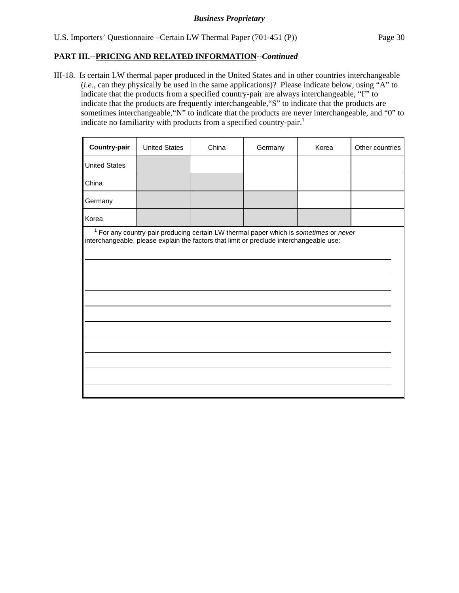III-18. Is certain LW thermal paper produced in the United States and in other countries interchangeable (*i.e.*, can they physically be used in the same applications)? Please indicate below, using "A" to indicate that the products from a specified country-pair are always interchangeable, "F" to indicate that the products are frequently interchangeable,"S" to indicate that the products are sometimes interchangeable,"N" to indicate that the products are never interchangeable, and "0" to indicate no familiarity with products from a specified country-pair.<sup>1</sup>

| <b>Country-pair</b>  | <b>United States</b> | China | Germany                                                                                                                                                                                     | Korea | Other countries |
|----------------------|----------------------|-------|---------------------------------------------------------------------------------------------------------------------------------------------------------------------------------------------|-------|-----------------|
| <b>United States</b> |                      |       |                                                                                                                                                                                             |       |                 |
| China                |                      |       |                                                                                                                                                                                             |       |                 |
| Germany              |                      |       |                                                                                                                                                                                             |       |                 |
| Korea                |                      |       |                                                                                                                                                                                             |       |                 |
|                      |                      |       | <sup>1</sup> For any country-pair producing certain LW thermal paper which is sometimes or never<br>interchangeable, please explain the factors that limit or preclude interchangeable use: |       |                 |
|                      |                      |       |                                                                                                                                                                                             |       |                 |
|                      |                      |       |                                                                                                                                                                                             |       |                 |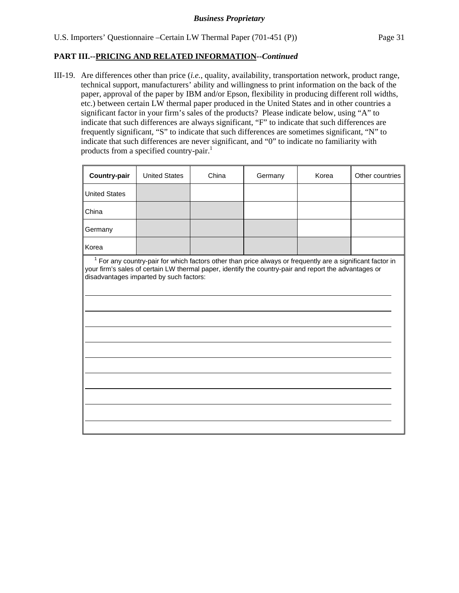III-19. Are differences other than price (*i.e.*, quality, availability, transportation network, product range, technical support, manufacturers' ability and willingness to print information on the back of the paper, approval of the paper by IBM and/or Epson, flexibility in producing different roll widths, etc.) between certain LW thermal paper produced in the United States and in other countries a significant factor in your firm's sales of the products? Please indicate below, using "A" to indicate that such differences are always significant, "F" to indicate that such differences are frequently significant, "S" to indicate that such differences are sometimes significant, "N" to indicate that such differences are never significant, and "0" to indicate no familiarity with products from a specified country-pair.<sup>1</sup>

| Country-pair                                                                                                                                                                                                                                                     | <b>United States</b> | China | Germany | Korea | Other countries |  |  |  |  |  |
|------------------------------------------------------------------------------------------------------------------------------------------------------------------------------------------------------------------------------------------------------------------|----------------------|-------|---------|-------|-----------------|--|--|--|--|--|
| <b>United States</b>                                                                                                                                                                                                                                             |                      |       |         |       |                 |  |  |  |  |  |
| China                                                                                                                                                                                                                                                            |                      |       |         |       |                 |  |  |  |  |  |
| Germany                                                                                                                                                                                                                                                          |                      |       |         |       |                 |  |  |  |  |  |
| Korea                                                                                                                                                                                                                                                            |                      |       |         |       |                 |  |  |  |  |  |
| $1$ For any country-pair for which factors other than price always or frequently are a significant factor in<br>your firm's sales of certain LW thermal paper, identify the country-pair and report the advantages or<br>disadvantages imparted by such factors: |                      |       |         |       |                 |  |  |  |  |  |